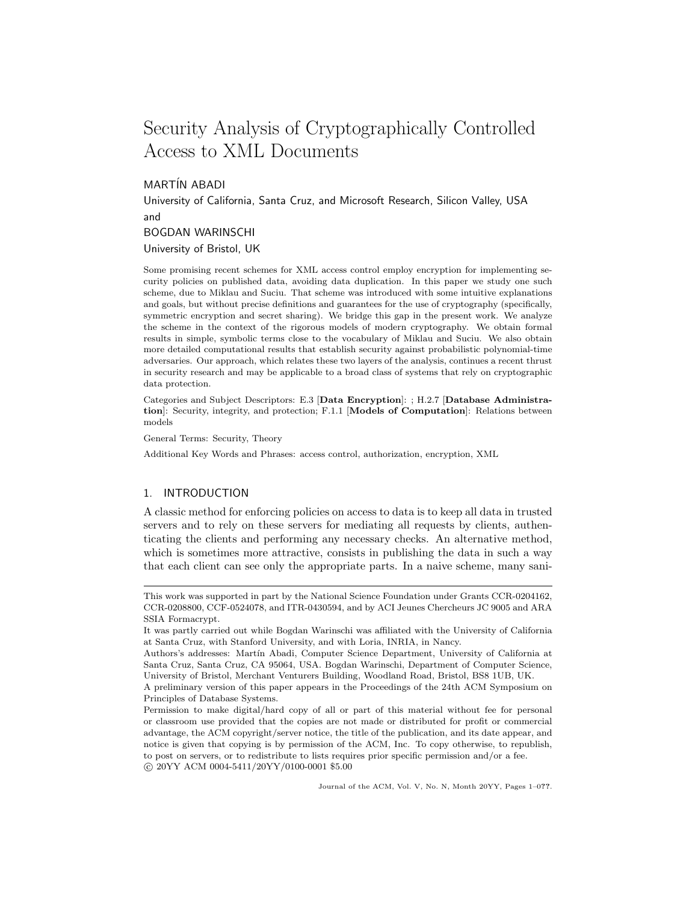# Security Analysis of Cryptographically Controlled Access to XML Documents

MARTÍN ABADI

University of California, Santa Cruz, and Microsoft Research, Silicon Valley, USA and BOGDAN WARINSCHI

University of Bristol, UK

Some promising recent schemes for XML access control employ encryption for implementing security policies on published data, avoiding data duplication. In this paper we study one such scheme, due to Miklau and Suciu. That scheme was introduced with some intuitive explanations and goals, but without precise definitions and guarantees for the use of cryptography (specifically, symmetric encryption and secret sharing). We bridge this gap in the present work. We analyze the scheme in the context of the rigorous models of modern cryptography. We obtain formal results in simple, symbolic terms close to the vocabulary of Miklau and Suciu. We also obtain more detailed computational results that establish security against probabilistic polynomial-time adversaries. Our approach, which relates these two layers of the analysis, continues a recent thrust in security research and may be applicable to a broad class of systems that rely on cryptographic data protection.

Categories and Subject Descriptors: E.3 [**Data Encryption**]: ; H.2.7 [**Database Administration**]: Security, integrity, and protection; F.1.1 [**Models of Computation**]: Relations between models

General Terms: Security, Theory

Additional Key Words and Phrases: access control, authorization, encryption, XML

## 1. INTRODUCTION

A classic method for enforcing policies on access to data is to keep all data in trusted servers and to rely on these servers for mediating all requests by clients, authenticating the clients and performing any necessary checks. An alternative method, which is sometimes more attractive, consists in publishing the data in such a way that each client can see only the appropriate parts. In a naive scheme, many sani-

Journal of the ACM, Vol. V, No. N, Month 20YY, Pages 1–0**??**.

This work was supported in part by the National Science Foundation under Grants CCR-0204162, CCR-0208800, CCF-0524078, and ITR-0430594, and by ACI Jeunes Chercheurs JC 9005 and ARA SSIA Formacrypt.

It was partly carried out while Bogdan Warinschi was affiliated with the University of California at Santa Cruz, with Stanford University, and with Loria, INRIA, in Nancy.

Authors's addresses: Martín Abadi, Computer Science Department, University of California at Santa Cruz, Santa Cruz, CA 95064, USA. Bogdan Warinschi, Department of Computer Science, University of Bristol, Merchant Venturers Building, Woodland Road, Bristol, BS8 1UB, UK.

A preliminary version of this paper appears in the Proceedings of the 24th ACM Symposium on Principles of Database Systems.

Permission to make digital/hard copy of all or part of this material without fee for personal or classroom use provided that the copies are not made or distributed for profit or commercial advantage, the ACM copyright/server notice, the title of the publication, and its date appear, and notice is given that copying is by permission of the ACM, Inc. To copy otherwise, to republish, to post on servers, or to redistribute to lists requires prior specific permission and/or a fee. -c 20YY ACM 0004-5411/20YY/0100-0001 \$5.00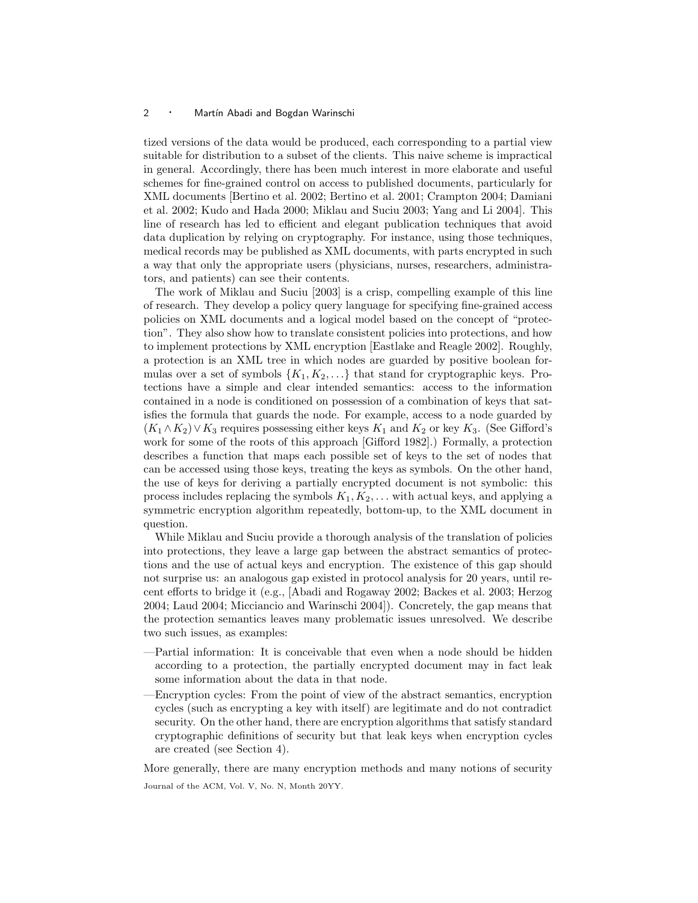tized versions of the data would be produced, each corresponding to a partial view suitable for distribution to a subset of the clients. This naive scheme is impractical in general. Accordingly, there has been much interest in more elaborate and useful schemes for fine-grained control on access to published documents, particularly for XML documents [Bertino et al. 2002; Bertino et al. 2001; Crampton 2004; Damiani et al. 2002; Kudo and Hada 2000; Miklau and Suciu 2003; Yang and Li 2004]. This line of research has led to efficient and elegant publication techniques that avoid data duplication by relying on cryptography. For instance, using those techniques, medical records may be published as XML documents, with parts encrypted in such a way that only the appropriate users (physicians, nurses, researchers, administrators, and patients) can see their contents.

The work of Miklau and Suciu [2003] is a crisp, compelling example of this line of research. They develop a policy query language for specifying fine-grained access policies on XML documents and a logical model based on the concept of "protection". They also show how to translate consistent policies into protections, and how to implement protections by XML encryption [Eastlake and Reagle 2002]. Roughly, a protection is an XML tree in which nodes are guarded by positive boolean formulas over a set of symbols  $\{K_1, K_2, \ldots\}$  that stand for cryptographic keys. Protections have a simple and clear intended semantics: access to the information contained in a node is conditioned on possession of a combination of keys that satisfies the formula that guards the node. For example, access to a node guarded by  $(K_1 \wedge K_2) \vee K_3$  requires possessing either keys  $K_1$  and  $K_2$  or key  $K_3$ . (See Gifford's work for some of the roots of this approach [Gifford 1982].) Formally, a protection describes a function that maps each possible set of keys to the set of nodes that can be accessed using those keys, treating the keys as symbols. On the other hand, the use of keys for deriving a partially encrypted document is not symbolic: this process includes replacing the symbols  $K_1, K_2, \ldots$  with actual keys, and applying a symmetric encryption algorithm repeatedly, bottom-up, to the XML document in question.

While Miklau and Suciu provide a thorough analysis of the translation of policies into protections, they leave a large gap between the abstract semantics of protections and the use of actual keys and encryption. The existence of this gap should not surprise us: an analogous gap existed in protocol analysis for 20 years, until recent efforts to bridge it (e.g., [Abadi and Rogaway 2002; Backes et al. 2003; Herzog 2004; Laud 2004; Micciancio and Warinschi 2004]). Concretely, the gap means that the protection semantics leaves many problematic issues unresolved. We describe two such issues, as examples:

- —Partial information: It is conceivable that even when a node should be hidden according to a protection, the partially encrypted document may in fact leak some information about the data in that node.
- —Encryption cycles: From the point of view of the abstract semantics, encryption cycles (such as encrypting a key with itself) are legitimate and do not contradict security. On the other hand, there are encryption algorithms that satisfy standard cryptographic definitions of security but that leak keys when encryption cycles are created (see Section 4).

More generally, there are many encryption methods and many notions of security Journal of the ACM, Vol. V, No. N, Month 20YY.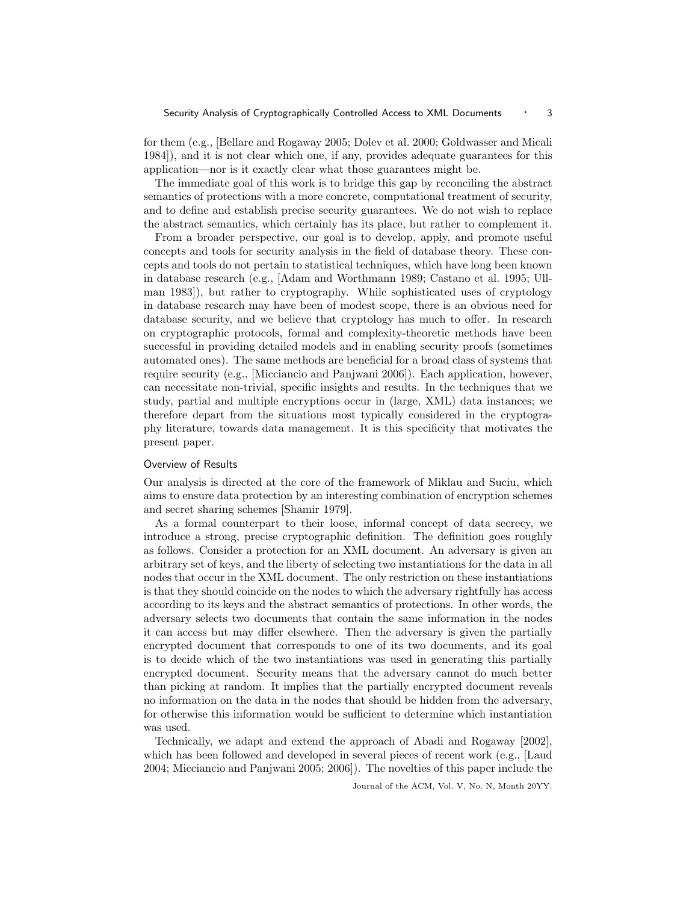for them (e.g., [Bellare and Rogaway 2005; Dolev et al. 2000; Goldwasser and Micali 1984]), and it is not clear which one, if any, provides adequate guarantees for this application—nor is it exactly clear what those guarantees might be.

The immediate goal of this work is to bridge this gap by reconciling the abstract semantics of protections with a more concrete, computational treatment of security, and to define and establish precise security guarantees. We do not wish to replace the abstract semantics, which certainly has its place, but rather to complement it.

From a broader perspective, our goal is to develop, apply, and promote useful concepts and tools for security analysis in the field of database theory. These concepts and tools do not pertain to statistical techniques, which have long been known in database research (e.g., [Adam and Worthmann 1989; Castano et al. 1995; Ullman 1983]), but rather to cryptography. While sophisticated uses of cryptology in database research may have been of modest scope, there is an obvious need for database security, and we believe that cryptology has much to offer. In research on cryptographic protocols, formal and complexity-theoretic methods have been successful in providing detailed models and in enabling security proofs (sometimes automated ones). The same methods are beneficial for a broad class of systems that require security (e.g., [Micciancio and Panjwani 2006]). Each application, however, can necessitate non-trivial, specific insights and results. In the techniques that we study, partial and multiple encryptions occur in (large, XML) data instances; we therefore depart from the situations most typically considered in the cryptography literature, towards data management. It is this specificity that motivates the present paper.

## Overview of Results

Our analysis is directed at the core of the framework of Miklau and Suciu, which aims to ensure data protection by an interesting combination of encryption schemes and secret sharing schemes [Shamir 1979].

As a formal counterpart to their loose, informal concept of data secrecy, we introduce a strong, precise cryptographic definition. The definition goes roughly as follows. Consider a protection for an XML document. An adversary is given an arbitrary set of keys, and the liberty of selecting two instantiations for the data in all nodes that occur in the XML document. The only restriction on these instantiations is that they should coincide on the nodes to which the adversary rightfully has access according to its keys and the abstract semantics of protections. In other words, the adversary selects two documents that contain the same information in the nodes it can access but may differ elsewhere. Then the adversary is given the partially encrypted document that corresponds to one of its two documents, and its goal is to decide which of the two instantiations was used in generating this partially encrypted document. Security means that the adversary cannot do much better than picking at random. It implies that the partially encrypted document reveals no information on the data in the nodes that should be hidden from the adversary, for otherwise this information would be sufficient to determine which instantiation was used.

Technically, we adapt and extend the approach of Abadi and Rogaway [2002], which has been followed and developed in several pieces of recent work (e.g., [Laud 2004; Micciancio and Panjwani 2005; 2006]). The novelties of this paper include the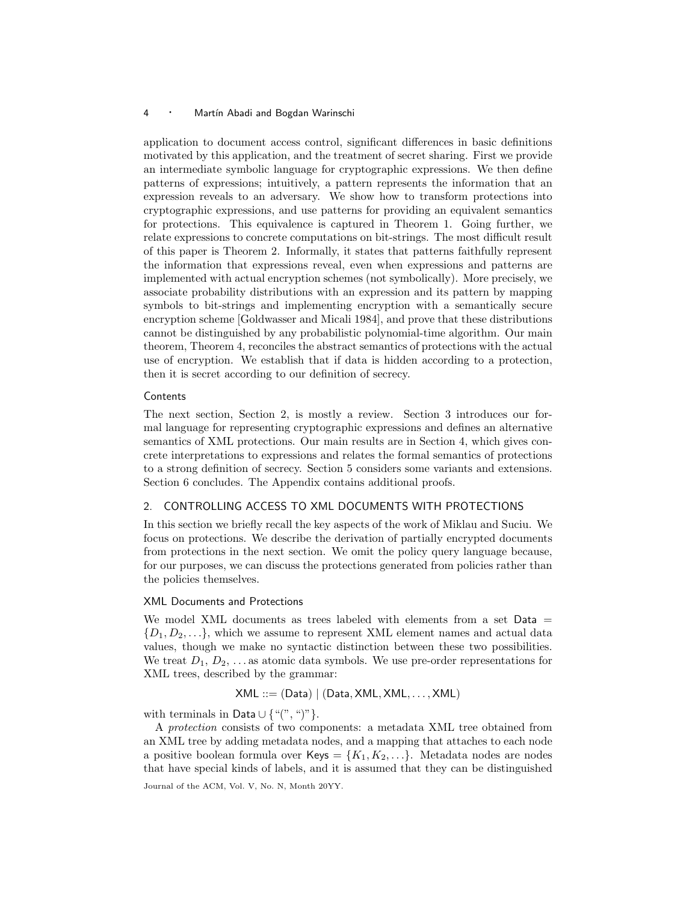application to document access control, significant differences in basic definitions motivated by this application, and the treatment of secret sharing. First we provide an intermediate symbolic language for cryptographic expressions. We then define patterns of expressions; intuitively, a pattern represents the information that an expression reveals to an adversary. We show how to transform protections into cryptographic expressions, and use patterns for providing an equivalent semantics for protections. This equivalence is captured in Theorem 1. Going further, we relate expressions to concrete computations on bit-strings. The most difficult result of this paper is Theorem 2. Informally, it states that patterns faithfully represent the information that expressions reveal, even when expressions and patterns are implemented with actual encryption schemes (not symbolically). More precisely, we associate probability distributions with an expression and its pattern by mapping symbols to bit-strings and implementing encryption with a semantically secure encryption scheme [Goldwasser and Micali 1984], and prove that these distributions cannot be distinguished by any probabilistic polynomial-time algorithm. Our main theorem, Theorem 4, reconciles the abstract semantics of protections with the actual use of encryption. We establish that if data is hidden according to a protection, then it is secret according to our definition of secrecy.

## Contents

The next section, Section 2, is mostly a review. Section 3 introduces our formal language for representing cryptographic expressions and defines an alternative semantics of XML protections. Our main results are in Section 4, which gives concrete interpretations to expressions and relates the formal semantics of protections to a strong definition of secrecy. Section 5 considers some variants and extensions. Section 6 concludes. The Appendix contains additional proofs.

## 2. CONTROLLING ACCESS TO XML DOCUMENTS WITH PROTECTIONS

In this section we briefly recall the key aspects of the work of Miklau and Suciu. We focus on protections. We describe the derivation of partially encrypted documents from protections in the next section. We omit the policy query language because, for our purposes, we can discuss the protections generated from policies rather than the policies themselves.

## XML Documents and Protections

We model XML documents as trees labeled with elements from a set Data =  $\{D_1, D_2, \ldots\}$ , which we assume to represent XML element names and actual data values, though we make no syntactic distinction between these two possibilities. We treat  $D_1, D_2, \ldots$  as atomic data symbols. We use pre-order representations for XML trees, described by the grammar:

$$
XML ::= (Data) | (Data, XML, XML, ..., XML)
$$

with terminals in Data  $\cup \{``("", ")"\}.$ 

A *protection* consists of two components: a metadata XML tree obtained from an XML tree by adding metadata nodes, and a mapping that attaches to each node a positive boolean formula over  $Keys = \{K_1, K_2, \ldots\}$ . Metadata nodes are nodes that have special kinds of labels, and it is assumed that they can be distinguished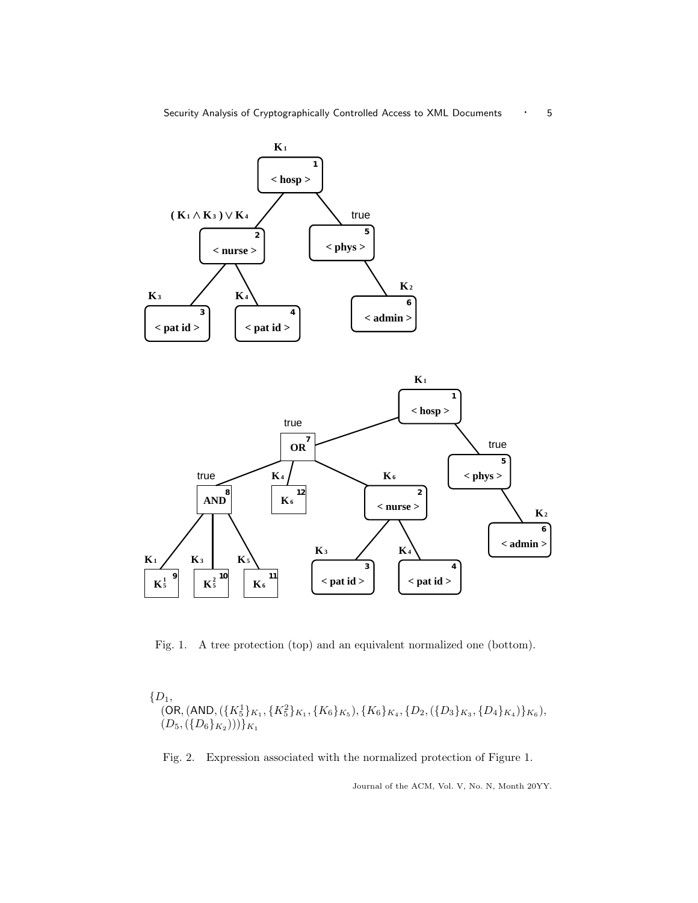



Fig. 1. A tree protection (top) and an equivalent normalized one (bottom).

$$
\{D_1,(OR,(AND,(\lbrace K_5^1\rbrace_{K_1},\lbrace K_6^2\rbrace_{K_5}),\lbrace K_6\rbrace_{K_4},\lbrace D_2,(\lbrace D_3\rbrace_{K_3},\lbrace D_4\rbrace_{K_4})\rbrace_{K_6}),(D_5,(\lbrace D_6\rbrace_{K_2})))\}_{K_1}
$$

Fig. 2. Expression associated with the normalized protection of Figure 1.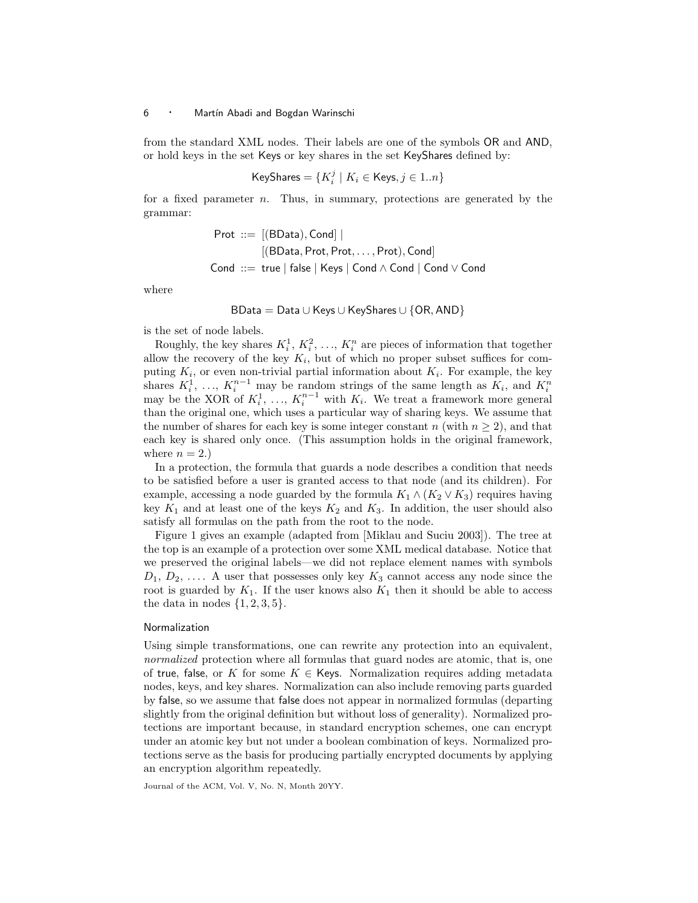from the standard XML nodes. Their labels are one of the symbols OR and AND, or hold keys in the set Keys or key shares in the set KeyShares defined by:

$$
\mathsf{KeyShares} = \{K^j_i \mid K_i \in \mathsf{Keys}, j \in 1..n\}
$$

for a fixed parameter  $n$ . Thus, in summary, protections are generated by the grammar:

$$
\begin{aligned} \mathsf{Prot}\ ::=\ \left[(\mathsf{BData}),\mathsf{Cond}\right]\mid\\ &\ \left[(\mathsf{BData},\mathsf{Prot},\mathsf{Prot},\ldots,\mathsf{Prot}),\mathsf{Cond}\right]\\ \mathsf{Cond}\ ::=\ \mathsf{true}\mid\mathsf{false}\mid\mathsf{Keys}\mid\mathsf{Cond}\wedge\mathsf{Cond}\mid\mathsf{Cond}\vee\mathsf{Cond} \end{aligned}
$$

where

BData = Data ∪ Keys ∪ KeyShares ∪ {OR,AND}

is the set of node labels.

Roughly, the key shares  $K_i^1, K_i^2, ..., K_i^n$  are pieces of information that together allow the recovery of the key  $K_i$ , but of which no proper subset suffices for computing  $K_i$ , or even non-trivial partial information about  $K_i$ . For example, the key shares  $K_i^1, \ldots, K_i^{n-1}$  may be random strings of the same length as  $K_i$ , and  $K_i^n$  may be the XOR of  $K_i^1, \ldots, K_i^{n-1}$  with  $K_i$ . We treat a framework more general than the original one, which uses a particular way of sharing keys. We assume that the number of shares for each key is some integer constant n (with  $n \geq 2$ ), and that each key is shared only once. (This assumption holds in the original framework, where  $n = 2.$ )

In a protection, the formula that guards a node describes a condition that needs to be satisfied before a user is granted access to that node (and its children). For example, accessing a node guarded by the formula  $K_1 \wedge (K_2 \vee K_3)$  requires having key  $K_1$  and at least one of the keys  $K_2$  and  $K_3$ . In addition, the user should also satisfy all formulas on the path from the root to the node.

Figure 1 gives an example (adapted from [Miklau and Suciu 2003]). The tree at the top is an example of a protection over some XML medical database. Notice that we preserved the original labels—we did not replace element names with symbols  $D_1, D_2, \ldots$  A user that possesses only key  $K_3$  cannot access any node since the root is guarded by  $K_1$ . If the user knows also  $K_1$  then it should be able to access the data in nodes  $\{1, 2, 3, 5\}.$ 

## Normalization

Using simple transformations, one can rewrite any protection into an equivalent, *normalized* protection where all formulas that guard nodes are atomic, that is, one of true, false, or K for some  $K \in$  Keys. Normalization requires adding metadata nodes, keys, and key shares. Normalization can also include removing parts guarded by false, so we assume that false does not appear in normalized formulas (departing slightly from the original definition but without loss of generality). Normalized protections are important because, in standard encryption schemes, one can encrypt under an atomic key but not under a boolean combination of keys. Normalized protections serve as the basis for producing partially encrypted documents by applying an encryption algorithm repeatedly.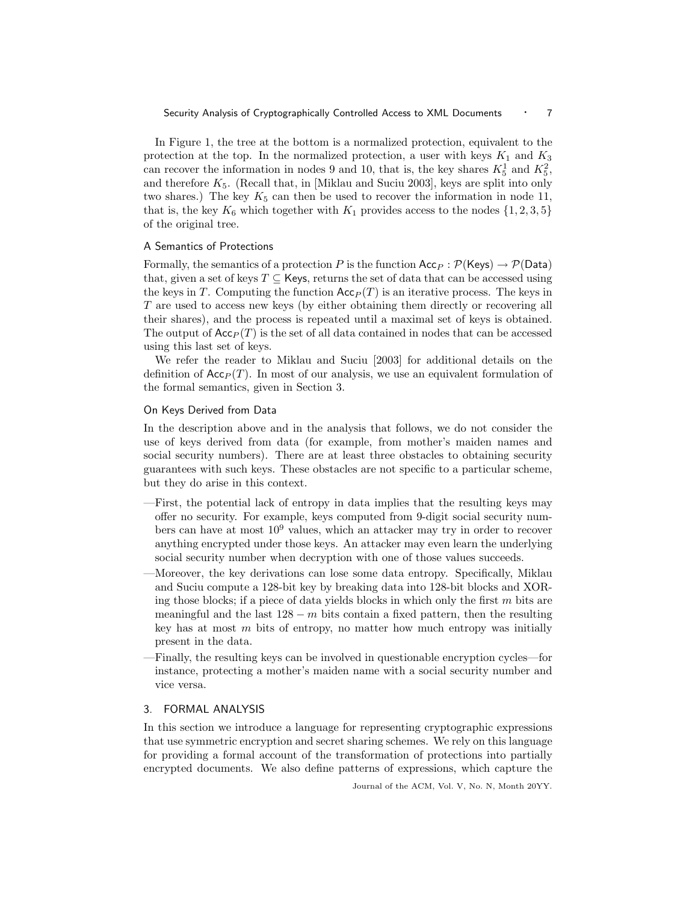In Figure 1, the tree at the bottom is a normalized protection, equivalent to the protection at the top. In the normalized protection, a user with keys  $K_1$  and  $K_3$ can recover the information in nodes 9 and 10, that is, the key shares  $K_5^1$  and  $K_5^2$ , and therefore  $K_5$ . (Recall that, in [Miklau and Suciu 2003], keys are split into only two shares.) The key  $K_5$  can then be used to recover the information in node 11, that is, the key  $K_6$  which together with  $K_1$  provides access to the nodes  $\{1, 2, 3, 5\}$ of the original tree.

## A Semantics of Protections

Formally, the semantics of a protection P is the function  $Acc_P : \mathcal{P}(Keys) \rightarrow \mathcal{P}(Data)$ that, given a set of keys T  $\subseteq$  Keys, returns the set of data that can be accessed using the keys in T. Computing the function  $Acc_P(T)$  is an iterative process. The keys in T are used to access new keys (by either obtaining them directly or recovering all their shares), and the process is repeated until a maximal set of keys is obtained. The output of  $Acc_P(T)$  is the set of all data contained in nodes that can be accessed using this last set of keys.

We refer the reader to Miklau and Suciu [2003] for additional details on the definition of  $Acc_{P}(T)$ . In most of our analysis, we use an equivalent formulation of the formal semantics, given in Section 3.

## On Keys Derived from Data

In the description above and in the analysis that follows, we do not consider the use of keys derived from data (for example, from mother's maiden names and social security numbers). There are at least three obstacles to obtaining security guarantees with such keys. These obstacles are not specific to a particular scheme, but they do arise in this context.

- —First, the potential lack of entropy in data implies that the resulting keys may offer no security. For example, keys computed from 9-digit social security numbers can have at most  $10^9$  values, which an attacker may try in order to recover anything encrypted under those keys. An attacker may even learn the underlying social security number when decryption with one of those values succeeds.
- —Moreover, the key derivations can lose some data entropy. Specifically, Miklau and Suciu compute a 128-bit key by breaking data into 128-bit blocks and XORing those blocks; if a piece of data yields blocks in which only the first  $m$  bits are meaningful and the last  $128 - m$  bits contain a fixed pattern, then the resulting key has at most  $m$  bits of entropy, no matter how much entropy was initially present in the data.
- —Finally, the resulting keys can be involved in questionable encryption cycles—for instance, protecting a mother's maiden name with a social security number and vice versa.

## 3. FORMAL ANALYSIS

In this section we introduce a language for representing cryptographic expressions that use symmetric encryption and secret sharing schemes. We rely on this language for providing a formal account of the transformation of protections into partially encrypted documents. We also define patterns of expressions, which capture the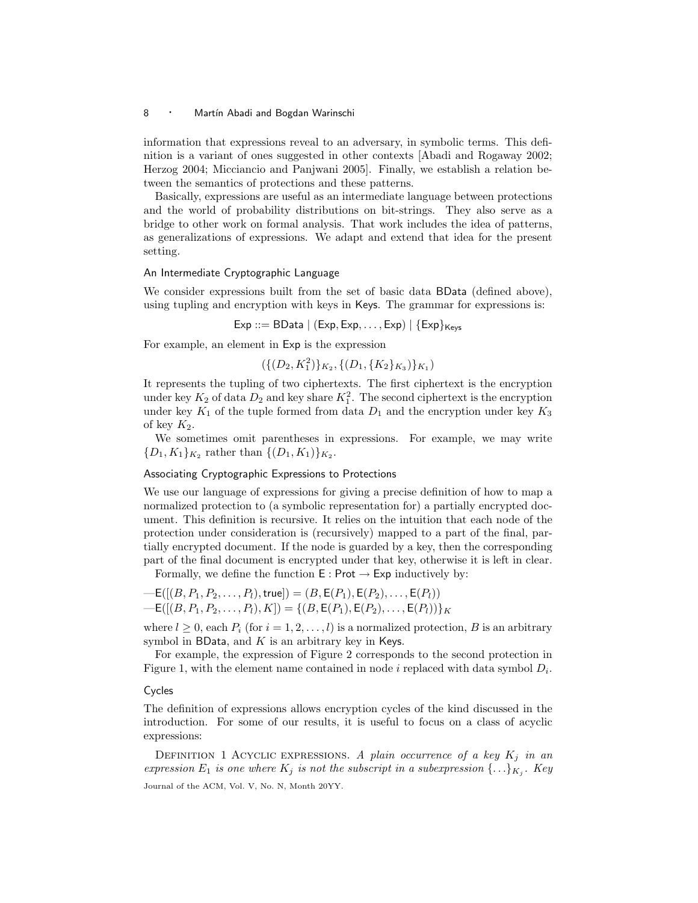information that expressions reveal to an adversary, in symbolic terms. This definition is a variant of ones suggested in other contexts [Abadi and Rogaway 2002; Herzog 2004; Micciancio and Panjwani 2005]. Finally, we establish a relation between the semantics of protections and these patterns.

Basically, expressions are useful as an intermediate language between protections and the world of probability distributions on bit-strings. They also serve as a bridge to other work on formal analysis. That work includes the idea of patterns, as generalizations of expressions. We adapt and extend that idea for the present setting.

## An Intermediate Cryptographic Language

We consider expressions built from the set of basic data BData (defined above), using tupling and encryption with keys in Keys. The grammar for expressions is:

 $Exp ::= BD$ ata |  $(Exp, Exp, \ldots, Exp)$  |  ${Exp}_{Kevs}$ 

For example, an element in Exp is the expression

 $({(D_2, K_1^2)}_{K_2}, {(D_1, {K_2}_{K_3})}_{K_1})$ 

It represents the tupling of two ciphertexts. The first ciphertext is the encryption under key  $K_2$  of data  $D_2$  and key share  $K_1^2$ . The second ciphertext is the encryption under key  $K_1$  of the tuple formed from data  $D_1$  and the encryption under key  $K_3$ of key  $K_2$ .

We sometimes omit parentheses in expressions. For example, we may write  ${D_1, K_1}_{K_2}$  rather than  ${(D_1, K_1)}_{K_2}$ .

# Associating Cryptographic Expressions to Protections

We use our language of expressions for giving a precise definition of how to map a normalized protection to (a symbolic representation for) a partially encrypted document. This definition is recursive. It relies on the intuition that each node of the protection under consideration is (recursively) mapped to a part of the final, partially encrypted document. If the node is guarded by a key, then the corresponding part of the final document is encrypted under that key, otherwise it is left in clear.

Formally, we define the function  $E : Prot \rightarrow Exp$  inductively by:

$$
-\mathsf{E}([(B, P_1, P_2, \dots, P_l), \mathsf{true}]) = (B, \mathsf{E}(P_1), \mathsf{E}(P_2), \dots, \mathsf{E}(P_l)) \n-\mathsf{E}([(B, P_1, P_2, \dots, P_l), K]) = \{(B, \mathsf{E}(P_1), \mathsf{E}(P_2), \dots, \mathsf{E}(P_l))\}_K
$$

where  $l \geq 0$ , each  $P_i$  (for  $i = 1, 2, \ldots, l$ ) is a normalized protection, B is an arbitrary symbol in BData, and  $K$  is an arbitrary key in Keys.

For example, the expression of Figure 2 corresponds to the second protection in Figure 1, with the element name contained in node i replaced with data symbol  $D_i$ .

#### Cycles

The definition of expressions allows encryption cycles of the kind discussed in the introduction. For some of our results, it is useful to focus on a class of acyclic expressions:

DEFINITION 1 ACYCLIC EXPRESSIONS. A plain occurrence of a key  $K_j$  in an *expression*  $E_1$  *is one where*  $K_j$  *is not the subscript in a subexpression*  $\{\ldots\}_K$ *. Key* Journal of the ACM, Vol. V, No. N, Month 20YY.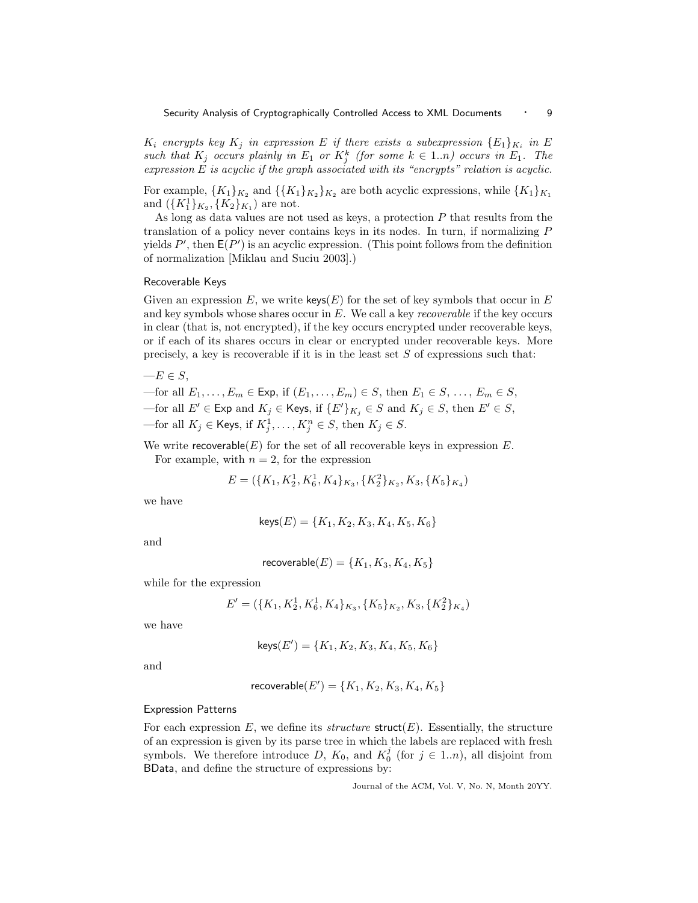$K_i$  encrypts key  $K_j$  in expression E if there exists a subexpression  $\{E_1\}_{K_i}$  in E *such that*  $K_j$  *occurs plainly in*  $E_1$  *or*  $K_j^k$  *(for some*  $k \in 1..n$ *) occurs in*  $E_1$ *. The expression* E *is acyclic if the graph associated with its "encrypts" relation is acyclic.*

For example,  $\{K_1\}_{K_2}$  and  $\{\{K_1\}_{K_2}\}_{K_2}$  are both acyclic expressions, while  $\{K_1\}_{K_1}$ and  $({K_1^1}_{K_2}, {K_2}_{K_1})$  are not.

As long as data values are not used as keys, a protection  $P$  that results from the translation of a policy never contains keys in its nodes. In turn, if normalizing P yields  $P'$ , then  $\mathsf{E}(P')$  is an acyclic expression. (This point follows from the definition of normalization [Miklau and Suciu 2003].)

## Recoverable Keys

Given an expression E, we write keys(E) for the set of key symbols that occur in E and key symbols whose shares occur in E. We call a key *recoverable* if the key occurs in clear (that is, not encrypted), if the key occurs encrypted under recoverable keys, or if each of its shares occurs in clear or encrypted under recoverable keys. More precisely, a key is recoverable if it is in the least set  $S$  of expressions such that:

 $-E \in S$ ,

—for all  $E_1,\ldots,E_m\in \textsf{Exp}$ , if  $(E_1,\ldots,E_m)\in S$ , then  $E_1\in S,\ldots,E_m\in S$ , —for all  $E' \in \textsf{Exp}$  and  $K_j \in \textsf{Keys}$ , if  $\{E'\}_{K_j} \in S$  and  $K_j \in S$ , then  $E' \in S$ , —for all  $K_j \in \text{Keys}, \text{ if } K_j^1, \ldots, K_j^n \in S, \text{ then } K_j \in S.$ 

We write recoverable( $E$ ) for the set of all recoverable keys in expression  $E$ . For example, with  $n = 2$ , for the expression

$$
E = (\{K_1, K_2^1, K_6^1, K_4\}_{K_3}, \{K_2^2\}_{K_2}, K_3, \{K_5\}_{K_4})
$$

we have

$$
keys(E) = \{K_1, K_2, K_3, K_4, K_5, K_6\}
$$

and

$$
\mathsf{recoverable}(E) = \{K_1, K_3, K_4, K_5\}
$$

while for the expression

$$
E' = (\{K_1, K_2^1, K_6^1, K_4\}_{K_3}, \{K_5\}_{K_2}, K_3, \{K_2^2\}_{K_4})
$$

we have

$$
keys(E') = \{K_1, K_2, K_3, K_4, K_5, K_6\}
$$

and

recoverable(
$$
E'
$$
) = { $K_1, K_2, K_3, K_4, K_5$ }

#### Expression Patterns

For each expression  $E$ , we define its *structure*  $\text{struct}(E)$ . Essentially, the structure of an expression is given by its parse tree in which the labels are replaced with fresh symbols. We therefore introduce D,  $K_0$ , and  $K_0^j$  (for  $j \in 1..n$ ), all disjoint from BData, and define the structure of expressions by: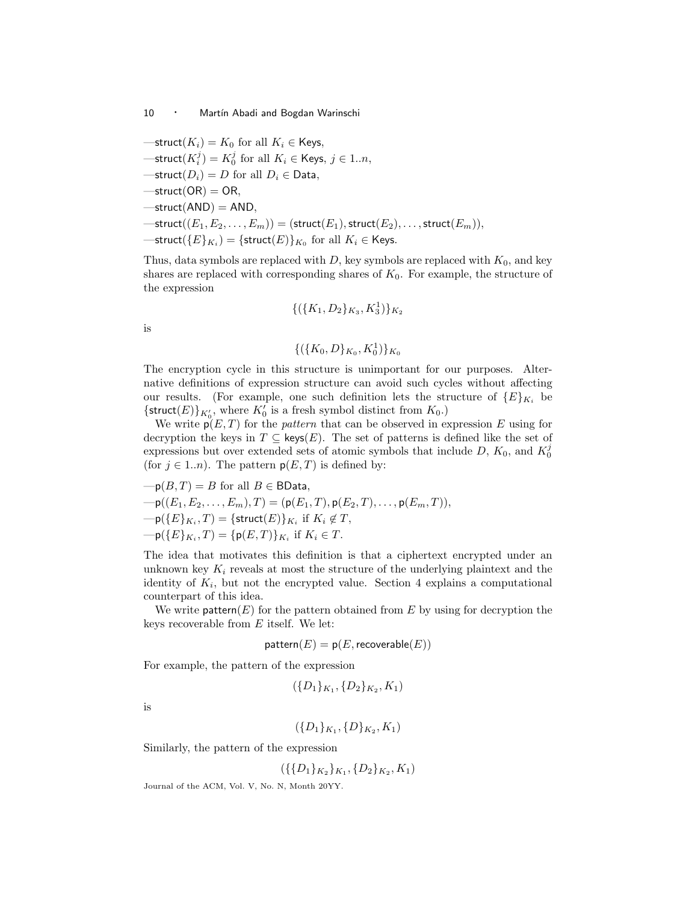$$
-struct(K_i) = K_0 \text{ for all } K_i \in \text{Keys},
$$
  
\n
$$
-struct(K_i^j) = K_0^j \text{ for all } K_i \in \text{Keys, } j \in 1..n,
$$
  
\n
$$
-struct(D_i) = D \text{ for all } D_i \in \text{Data},
$$
  
\n
$$
-struct(OR) = OR,
$$
  
\n
$$
-struct(AND) = AND,
$$
  
\n
$$
-struct((E_1, E_2, ..., E_m)) = (struct(E_1), struct(E_2), ..., struct(E_m)),
$$
  
\n
$$
-struct({E}_k)_{K_i}) = {struct(E)}_{K_0} \text{ for all } K_i \in \text{Keys}.
$$

Thus, data symbols are replaced with  $D$ , key symbols are replaced with  $K_0$ , and key shares are replaced with corresponding shares of  $K_0$ . For example, the structure of the expression

$$
\{(\{K_1, D_2\}_{K_3}, K_3^1)\}_{K_2}
$$

is

$$
\{(\{K_0, D\}_{K_0}, K_0^1)\}_{K_0}
$$

The encryption cycle in this structure is unimportant for our purposes. Alternative definitions of expression structure can avoid such cycles without affecting our results. (For example, one such definition lets the structure of  ${E}_{K_i}$  be  ${\{\textsf{struct}(E)\}}_{K'_0}$ , where  $K'_0$  is a fresh symbol distinct from  $K_0$ .)

We write  $p(E,T)$  for the *pattern* that can be observed in expression E using for decryption the keys in  $T \subseteq \text{keys}(E)$ . The set of patterns is defined like the set of expressions but over extended sets of atomic symbols that include  $D, K_0$ , and  $K_0^j$ (for  $j \in 1..n$ ). The pattern  $p(E,T)$  is defined by:

$$
-p(B,T) = B \text{ for all } B \in \text{BData},
$$
  
\n
$$
-p((E_1, E_2, \dots, E_m), T) = (p(E_1, T), p(E_2, T), \dots, p(E_m, T)),
$$
  
\n
$$
-p(\{E\}_{K_i}, T) = \{\text{struct}(E)\}_{K_i} \text{ if } K_i \notin T,
$$
  
\n
$$
-p(\{E\}_{K_i}, T) = \{p(E, T)\}_{K_i} \text{ if } K_i \in T.
$$

The idea that motivates this definition is that a ciphertext encrypted under an unknown key  $K_i$  reveals at most the structure of the underlying plaintext and the identity of  $K_i$ , but not the encrypted value. Section 4 explains a computational counterpart of this idea.

We write pattern(E) for the pattern obtained from E by using for decryption the keys recoverable from  $E$  itself. We let:

$$
\mathsf{pattern}(E) = \mathsf{p}(E, \mathsf{recoverable}(E))
$$

For example, the pattern of the expression

$$
(\{D_1\}_{K_1}, \{D_2\}_{K_2}, K_1)
$$

is

$$
(\{D_1\}_{K_1}, \{D\}_{K_2}, K_1)
$$

Similarly, the pattern of the expression

$$
(\{\{D_1\}_{K_2}\}_{K_1}, \{D_2\}_{K_2}, K_1)
$$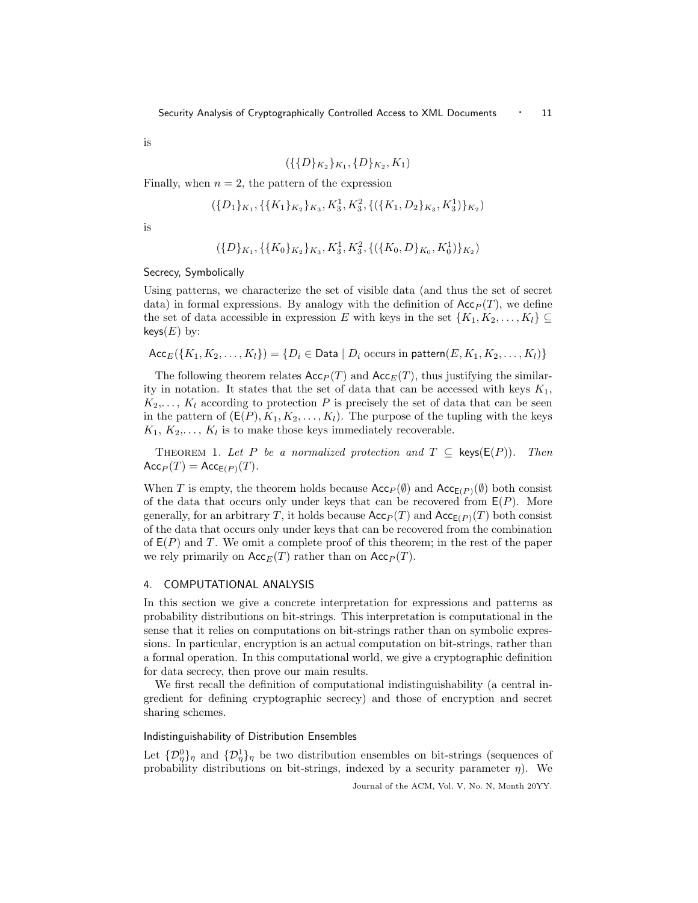is

$$
(\{\{D\}_{K_2}\}_{K_1}, \{D\}_{K_2}, K_1)
$$

Finally, when  $n = 2$ , the pattern of the expression

$$
(\{D_1\}_{K_1}, \{\{K_1\}_{K_2}\}_{K_3}, K_3^1, K_3^2, \{\{\{K_1, D_2\}_{K_3}, K_3^1\}\}_{K_2})
$$

is

$$
(\{D\}_{K_1}, \{\{K_0\}_{K_2}\}_{K_3}, K_3^1, K_3^2, \{\{\{K_0, D\}_{K_0}, K_0^1\}\}_{K_2})
$$

Secrecy, Symbolically

Using patterns, we characterize the set of visible data (and thus the set of secret data) in formal expressions. By analogy with the definition of  $Acc_{P}(T)$ , we define the set of data accessible in expression E with keys in the set  $\{K_1, K_2, \ldots, K_l\} \subseteq$ keys $(E)$  by:

$$
\mathsf{Acc}_E(\{K_1, K_2, \ldots, K_l\}) = \{D_i \in \mathsf{Data} \mid D_i \text{ occurs in pattern}(E, K_1, K_2, \ldots, K_l)\}
$$

The following theorem relates  $Acc_P(T)$  and  $Acc_E(T)$ , thus justifying the similarity in notation. It states that the set of data that can be accessed with keys  $K_1$ ,  $K_2, \ldots, K_l$  according to protection P is precisely the set of data that can be seen in the pattern of  $(E(P), K_1, K_2, \ldots, K_l)$ . The purpose of the tupling with the keys  $K_1, K_2, \ldots, K_l$  is to make those keys immediately recoverable.

THEOREM 1. Let P be a normalized protection and  $T \subseteq \text{keys}(E(P))$ . Then  $Acc_P (T) = Acc_{E(P)} (T)$ .

When T is empty, the theorem holds because  $Acc_{P}(\emptyset)$  and  $Acc_{E(P)}(\emptyset)$  both consist of the data that occurs only under keys that can be recovered from  $E(P)$ . More generally, for an arbitrary T, it holds because  $Acc_P(T)$  and  $Acc_{E(P)}(T)$  both consist of the data that occurs only under keys that can be recovered from the combination of  $E(P)$  and T. We omit a complete proof of this theorem; in the rest of the paper we rely primarily on  $Acc_E(T)$  rather than on  $Acc_P(T)$ .

## 4. COMPUTATIONAL ANALYSIS

In this section we give a concrete interpretation for expressions and patterns as probability distributions on bit-strings. This interpretation is computational in the sense that it relies on computations on bit-strings rather than on symbolic expressions. In particular, encryption is an actual computation on bit-strings, rather than a formal operation. In this computational world, we give a cryptographic definition for data secrecy, then prove our main results.

We first recall the definition of computational indistinguishability (a central ingredient for defining cryptographic secrecy) and those of encryption and secret sharing schemes.

#### Indistinguishability of Distribution Ensembles

Let  $\{\mathcal{D}_{\eta}^0\}_{\eta}$  and  $\{\mathcal{D}_{\eta}^1\}_{\eta}$  be two distribution ensembles on bit-strings (sequences of probability distributions on bit-strings, indexed by a security parameter  $\eta$ ). We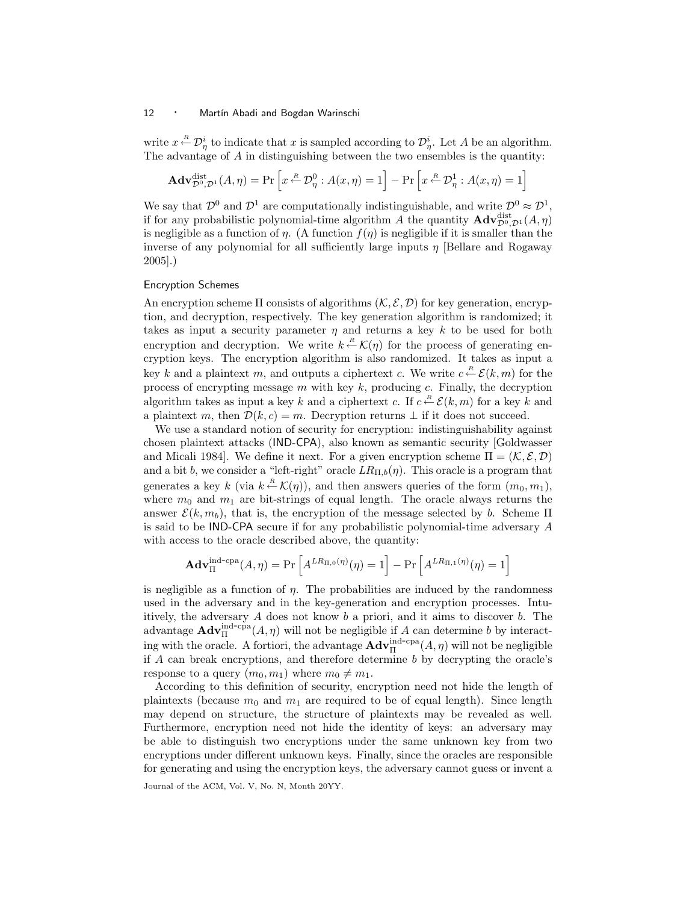write  $x \stackrel{R}{\leftarrow} \mathcal{D}_{\eta}^{i}$  to indicate that x is sampled according to  $\mathcal{D}_{\eta}^{i}$ . Let A be an algorithm. The advantage of A in distinguishing between the two ensembles is the quantity:

$$
\mathbf{Adv}_{\mathcal{D}^0,\mathcal{D}^1}^{\text{dist}}(A,\eta) = \Pr\left[x \stackrel{R}{\leftarrow} \mathcal{D}^0_\eta : A(x,\eta) = 1\right] - \Pr\left[x \stackrel{R}{\leftarrow} \mathcal{D}^1_\eta : A(x,\eta) = 1\right]
$$

We say that  $\mathcal{D}^0$  and  $\mathcal{D}^1$  are computationally indistinguishable, and write  $\mathcal{D}^0 \approx \mathcal{D}^1$ , if for any probabilistic polynomial-time algorithm A the quantity  $\mathbf{Adv}_{\mathcal{D}^0,\mathcal{D}^1}^{\text{dist}}(A,\eta)$ is negligible as a function of  $\eta$ . (A function  $f(\eta)$  is negligible if it is smaller than the inverse of any polynomial for all sufficiently large inputs  $\eta$  [Bellare and Rogaway] 2005].)

## Encryption Schemes

An encryption scheme  $\Pi$  consists of algorithms  $(\mathcal{K}, \mathcal{E}, \mathcal{D})$  for key generation, encryption, and decryption, respectively. The key generation algorithm is randomized; it takes as input a security parameter  $\eta$  and returns a key k to be used for both encryption and decryption. We write  $k \stackrel{R}{\leftarrow} \mathcal{K}(\eta)$  for the process of generating encryption keys. The encryption algorithm is also randomized. It takes as input a key k and a plaintext m, and outputs a ciphertext c. We write  $c \stackrel{R}{\leftarrow} \mathcal{E}(k,m)$  for the process of encrypting message  $m$  with key  $k$ , producing  $c$ . Finally, the decryption algorithm takes as input a key k and a ciphertext c. If  $c \stackrel{R}{\leftarrow} \mathcal{E}(k,m)$  for a key k and a plaintext m, then  $\mathcal{D}(k, c) = m$ . Decryption returns  $\perp$  if it does not succeed.

We use a standard notion of security for encryption: indistinguishability against chosen plaintext attacks (IND-CPA), also known as semantic security [Goldwasser and Micali 1984]. We define it next. For a given encryption scheme  $\Pi = (K, \mathcal{E}, \mathcal{D})$ and a bit b, we consider a "left-right" oracle  $LR_{\Pi,b}(\eta)$ . This oracle is a program that generates a key k (via  $k \stackrel{R}{\leftarrow} \mathcal{K}(\eta)$ ), and then answers queries of the form  $(m_0, m_1)$ , where  $m_0$  and  $m_1$  are bit-strings of equal length. The oracle always returns the answer  $\mathcal{E}(k,m_b)$ , that is, the encryption of the message selected by b. Scheme Π is said to be IND-CPA secure if for any probabilistic polynomial-time adversary A with access to the oracle described above, the quantity:

$$
\mathbf{Adv}_{\Pi}^{\text{ind-cpa}}(A,\eta) = \Pr\left[A^{LR_{\Pi,0}(\eta)}(\eta) = 1\right] - \Pr\left[A^{LR_{\Pi,1}(\eta)}(\eta) = 1\right]
$$

is negligible as a function of  $\eta$ . The probabilities are induced by the randomness used in the adversary and in the key-generation and encryption processes. Intuitively, the adversary  $A$  does not know  $b$  a priori, and it aims to discover  $b$ . The advantage  $\mathbf{Adv}_{\Pi}^{\text{ind-cpa}}(A, \eta)$  will not be negligible if A can determine b by interacting with the oracle. A fortiori, the advantage  $\mathbf{Adv}_{\Pi}^{\text{ind-cpa}}(A, \eta)$  will not be negligible if A can break encryptions, and therefore determine b by decrypting the oracle's response to a query  $(m_0, m_1)$  where  $m_0 \neq m_1$ .

According to this definition of security, encryption need not hide the length of plaintexts (because  $m_0$  and  $m_1$  are required to be of equal length). Since length may depend on structure, the structure of plaintexts may be revealed as well. Furthermore, encryption need not hide the identity of keys: an adversary may be able to distinguish two encryptions under the same unknown key from two encryptions under different unknown keys. Finally, since the oracles are responsible for generating and using the encryption keys, the adversary cannot guess or invent a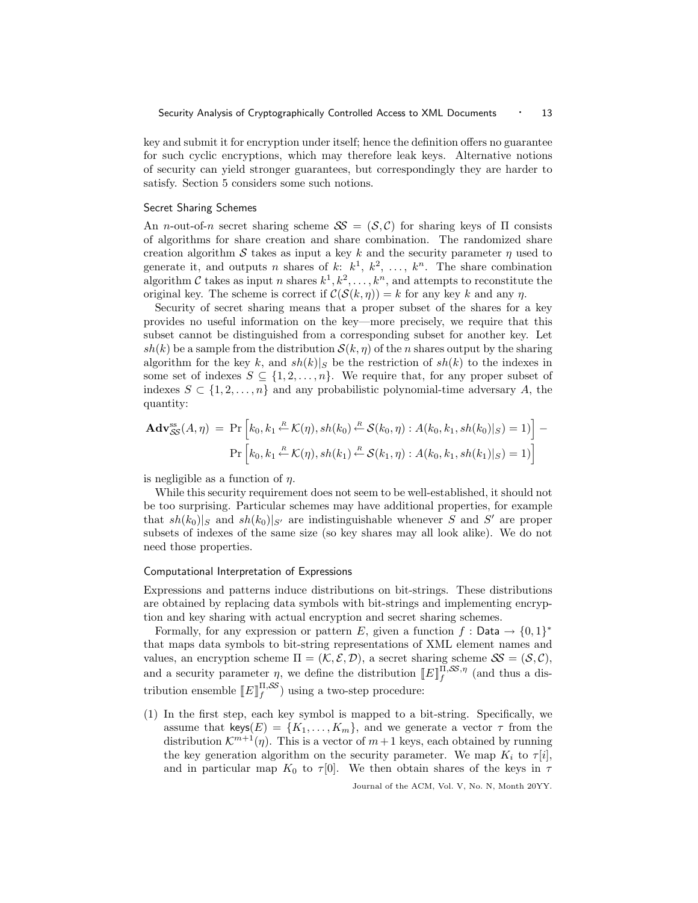key and submit it for encryption under itself; hence the definition offers no guarantee for such cyclic encryptions, which may therefore leak keys. Alternative notions of security can yield stronger guarantees, but correspondingly they are harder to satisfy. Section 5 considers some such notions.

## Secret Sharing Schemes

An *n*-out-of-*n* secret sharing scheme  $S = (S, C)$  for sharing keys of  $\Pi$  consists of algorithms for share creation and share combination. The randomized share creation algorithm S takes as input a key k and the security parameter  $\eta$  used to generate it, and outputs n shares of k:  $k^1$ ,  $k^2$ , ...,  $k^n$ . The share combination algorithm C takes as input n shares  $k^1, k^2, \ldots, k^n$ , and attempts to reconstitute the original key. The scheme is correct if  $C(S(k, \eta)) = k$  for any key k and any  $\eta$ .

Security of secret sharing means that a proper subset of the shares for a key provides no useful information on the key—more precisely, we require that this subset cannot be distinguished from a corresponding subset for another key. Let  $sh(k)$  be a sample from the distribution  $\mathcal{S}(k, \eta)$  of the *n* shares output by the sharing algorithm for the key k, and  $sh(k)|_S$  be the restriction of  $sh(k)$  to the indexes in some set of indexes  $S \subseteq \{1, 2, ..., n\}$ . We require that, for any proper subset of indexes  $S \subset \{1, 2, ..., n\}$  and any probabilistic polynomial-time adversary A, the quantity:

$$
\mathbf{Adv}_{\mathcal{SS}}^{\mathrm{ss}}(A,\eta) = \Pr\left[k_0, k_1 \stackrel{R}{\leftarrow} \mathcal{K}(\eta), sh(k_0) \stackrel{R}{\leftarrow} \mathcal{S}(k_0, \eta) : A(k_0, k_1, sh(k_0)|_S) = 1)\right] - \Pr\left[k_0, k_1 \stackrel{R}{\leftarrow} \mathcal{K}(\eta), sh(k_1) \stackrel{R}{\leftarrow} \mathcal{S}(k_1, \eta) : A(k_0, k_1, sh(k_1)|_S) = 1)\right]
$$

is negligible as a function of  $\eta$ .

While this security requirement does not seem to be well-established, it should not be too surprising. Particular schemes may have additional properties, for example that  $sh(k_0)|_S$  and  $sh(k_0)|_{S'}$  are indistinguishable whenever S and S' are proper subsets of indexes of the same size (so key shares may all look alike). We do not need those properties.

## Computational Interpretation of Expressions

Expressions and patterns induce distributions on bit-strings. These distributions are obtained by replacing data symbols with bit-strings and implementing encryption and key sharing with actual encryption and secret sharing schemes.

Formally, for any expression or pattern E, given a function  $f :$  Data  $\rightarrow \{0,1\}^*$ that maps data symbols to bit-string representations of XML element names and values, an encryption scheme  $\Pi = (\mathcal{K}, \mathcal{E}, \mathcal{D})$ , a secret sharing scheme  $\mathcal{S} = (\mathcal{S}, \mathcal{C})$ , and a security parameter  $\eta$ , we define the distribution  $[[E]]_f^{\Pi,S\mathcal{S},\eta}$  (and thus a distribution ensemble  $[[E]]_f^{\Pi,\mathcal{S\!S}}$  using a two-step procedure:

(1) In the first step, each key symbol is mapped to a bit-string. Specifically, we assume that keys $(E) = \{K_1, \ldots, K_m\}$ , and we generate a vector  $\tau$  from the distribution  $\mathcal{K}^{m+1}(\eta)$ . This is a vector of  $m+1$  keys, each obtained by running the key generation algorithm on the security parameter. We map  $K_i$  to  $\tau[i]$ , and in particular map  $K_0$  to  $\tau[0]$ . We then obtain shares of the keys in  $\tau$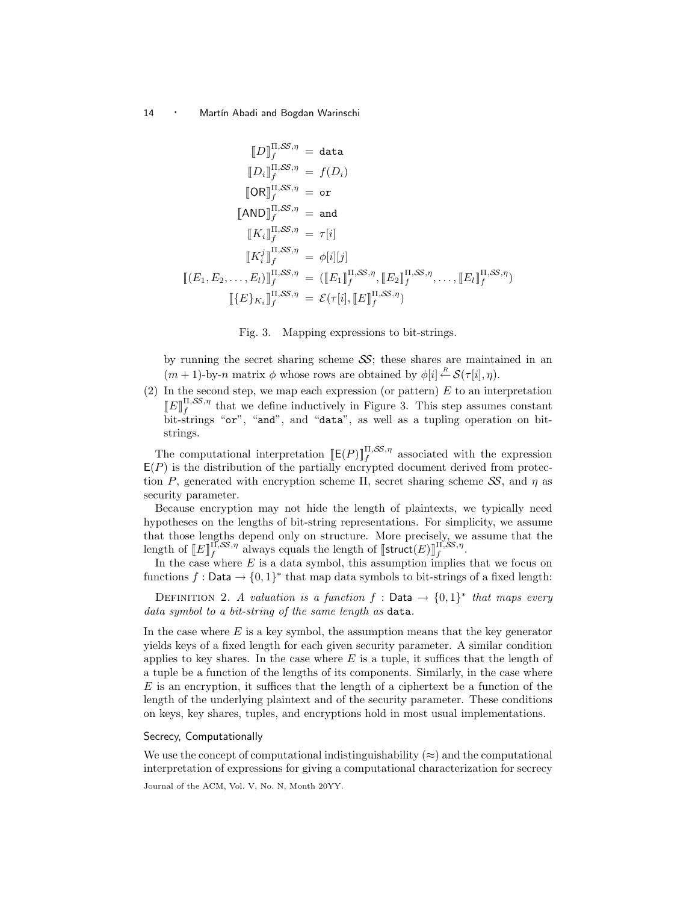$$
\llbracket D \rrbracket_f^{\Pi,SS,\eta} = \text{data} \llbracket D_i \rrbracket_f^{ \Pi,SS,\eta} = f(D_i) \llbracket \text{OR} \rrbracket_f^{ \Pi,SS,\eta} = \text{or} \llbracket \text{AND} \rrbracket_f^{ \Pi,SS,\eta} = \text{and} \llbracket K_i \rrbracket_f^{ \Pi,SS,\eta} = \tau[i] \llbracket K_i \rrbracket_f^{ \Pi,SS,\eta} = \phi[i][j] \llbracket (E_1, E_2, \ldots, E_l) \rrbracket_f^{ \Pi,SS,\eta} = (\llbracket E_1 \rrbracket_f^{ \Pi,SS,\eta} , \llbracket E_2 \rrbracket_f^{ \Pi,SS,\eta} , \ldots, \llbracket E_l \rrbracket_f^{ \Pi,SS,\eta} ) \llbracket \{\text{E}\}_{K_i} \rrbracket_f^{ \Pi,SS,\eta} = \mathcal{E}(\tau[i], \llbracket E \rrbracket_f^{ \Pi,SS,\eta} )
$$

Fig. 3. Mapping expressions to bit-strings.

by running the secret sharing scheme  $\mathcal{S}\mathcal{S}$ ; these shares are maintained in an  $(m+1)$ -by-n matrix  $\phi$  whose rows are obtained by  $\phi[i] \stackrel{R}{\leftarrow} \mathcal{S}(\tau[i], \eta)$ .

(2) In the second step, we map each expression (or pattern)  $E$  to an interpretation  $[[E]]_f^{\Pi,\mathcal{SS},\eta}$  that we define inductively in Figure 3. This step assumes constant bit-strings "or", "and", and "data", as well as a tupling operation on bitstrings.

The computational interpretation  $[\![\mathsf{E}(P)]\!]_f^{\Pi,\mathcal{SS},\eta}$  associated with the expression  $E(P)$  is the distribution of the partially encrypted document derived from protection P, generated with encryption scheme  $\Pi$ , secret sharing scheme SS, and  $\eta$  as security parameter.

Because encryption may not hide the length of plaintexts, we typically need hypotheses on the lengths of bit-string representations. For simplicity, we assume that those lengths depend only on structure. More precisely, we assume that the length of  $[[E]]_f^{\Pi,SS,\eta}$ .<br>length of  $[[E]]_f^{\Pi,SS,\eta}$  always equals the length of  $[[struct(E)]_f^{\Pi,SS,\eta}$ .

In the case where  $E$  is a data symbol, this assumption implies that we focus on functions f : Data  $\rightarrow$  {0, 1}<sup>\*</sup> that map data symbols to bit-strings of a fixed length:

DEFINITION 2. *A valuation is a function*  $f : Data \rightarrow \{0, 1\}^*$  *that maps every data symbol to a bit-string of the same length as* data*.*

In the case where  $E$  is a key symbol, the assumption means that the key generator yields keys of a fixed length for each given security parameter. A similar condition applies to key shares. In the case where  $E$  is a tuple, it suffices that the length of a tuple be a function of the lengths of its components. Similarly, in the case where  $E$  is an encryption, it suffices that the length of a ciphertext be a function of the length of the underlying plaintext and of the security parameter. These conditions on keys, key shares, tuples, and encryptions hold in most usual implementations.

#### Secrecy, Computationally

We use the concept of computational indistinguishability  $(\approx)$  and the computational interpretation of expressions for giving a computational characterization for secrecy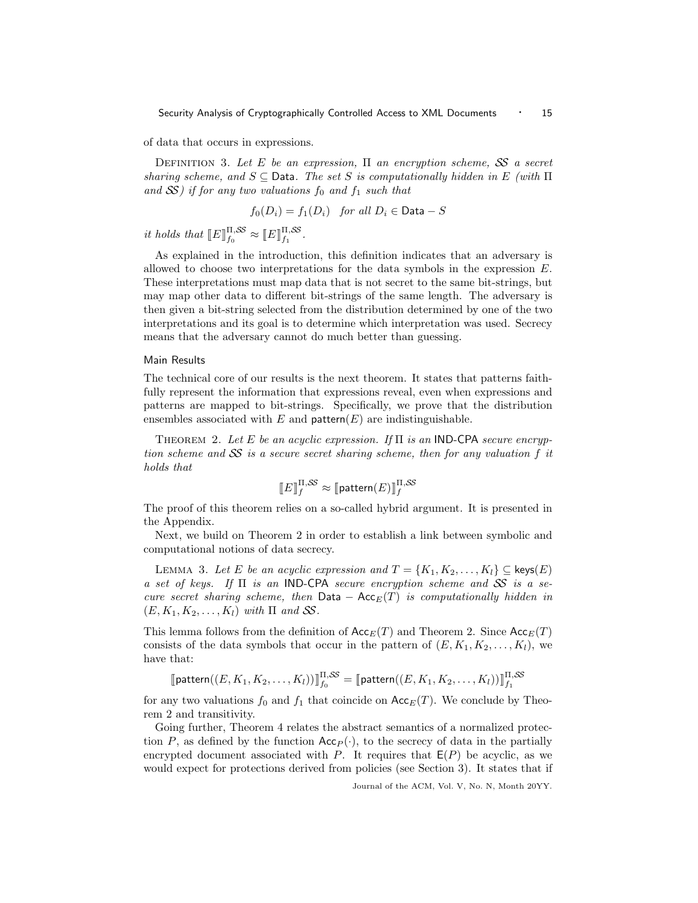of data that occurs in expressions.

Definition 3. *Let* E *be an expression,* Π *an encryption scheme,* SS *a secret sharing scheme, and* S ⊆ Data*. The set* S *is computationally hidden in* E *(with* Π *and*  $\mathcal{S}$ *S)* if for any two valuations  $f_0$  *and*  $f_1$  *such that* 

$$
f_0(D_i) = f_1(D_i) \quad \text{for all } D_i \in \text{Data} - S
$$

*it holds that*  $[[E]]_{f_0}^{\Pi, \mathcal{SS}} \approx [[E]]_{f_1}^{\Pi, \mathcal{SS}}$ .

As explained in the introduction, this definition indicates that an adversary is allowed to choose two interpretations for the data symbols in the expression E. These interpretations must map data that is not secret to the same bit-strings, but may map other data to different bit-strings of the same length. The adversary is then given a bit-string selected from the distribution determined by one of the two interpretations and its goal is to determine which interpretation was used. Secrecy means that the adversary cannot do much better than guessing.

#### Main Results

The technical core of our results is the next theorem. It states that patterns faithfully represent the information that expressions reveal, even when expressions and patterns are mapped to bit-strings. Specifically, we prove that the distribution ensembles associated with  $E$  and pattern $(E)$  are indistinguishable.

Theorem 2. *Let* E *be an acyclic expression. If* Π *is an* IND-CPA *secure encryption scheme and* SS *is a secure secret sharing scheme, then for any valuation* f *it holds that*

$$
\llbracket E \rrbracket^{\Pi,\mathcal{S}\mathcal{S}}_f \approx \llbracket \mathsf{pattern}(E) \rrbracket^{\Pi,\mathcal{S}\mathcal{S}}_f
$$

The proof of this theorem relies on a so-called hybrid argument. It is presented in the Appendix.

Next, we build on Theorem 2 in order to establish a link between symbolic and computational notions of data secrecy.

LEMMA 3. Let E be an acyclic expression and  $T = \{K_1, K_2, \ldots, K_l\} \subseteq \text{keys}(E)$ *a set of keys. If* Π *is an* IND-CPA *secure encryption scheme and* SS *is a secure secret sharing scheme, then*  $Data - Acc_E(T)$  *is computationally hidden in*  $(E, K_1, K_2, \ldots, K_l)$  *with*  $\Pi$  *and* SS.

This lemma follows from the definition of  $Acc_E(T)$  and Theorem 2. Since  $Acc_E(T)$ consists of the data symbols that occur in the pattern of  $(E, K_1, K_2, \ldots, K_l)$ , we have that:

$$
\llbracket \mathsf{pattern}((E,K_1,K_2,\ldots,K_l)) \rrbracket_{f_0}^{\Pi,\mathcal{SS}} = \llbracket \mathsf{pattern}((E,K_1,K_2,\ldots,K_l)) \rrbracket_{f_1}^{\Pi,\mathcal{SS}}
$$

for any two valuations  $f_0$  and  $f_1$  that coincide on  $Acc_E(T)$ . We conclude by Theorem 2 and transitivity.

Going further, Theorem 4 relates the abstract semantics of a normalized protection P, as defined by the function  $Acc_{P}(\cdot)$ , to the secrecy of data in the partially encrypted document associated with P. It requires that  $E(P)$  be acyclic, as we would expect for protections derived from policies (see Section 3). It states that if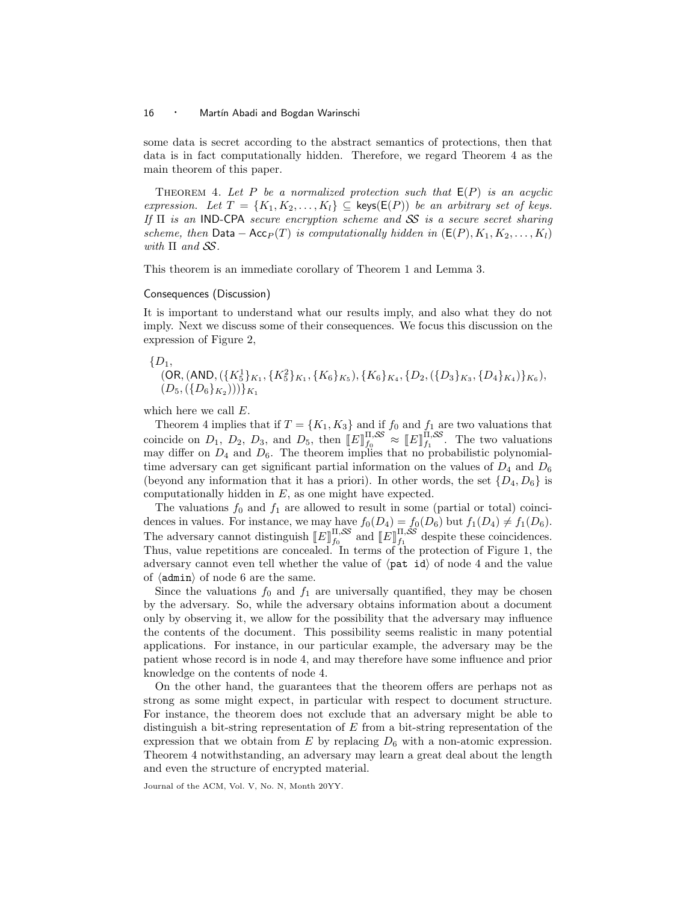some data is secret according to the abstract semantics of protections, then that data is in fact computationally hidden. Therefore, we regard Theorem 4 as the main theorem of this paper.

Theorem 4. *Let* P *be a normalized protection such that* E(P) *is an acyclic expression.* Let  $T = \{K_1, K_2, \ldots, K_l\} \subseteq \text{keys}(E(P))$  *be an arbitrary set of keys. If* Π *is an* IND-CPA *secure encryption scheme and* SS *is a secure secret sharing scheme, then* Data –  $Acc_P(T)$  *is computationally hidden in*  $(E(P), K_1, K_2, \ldots, K_l)$ *with* Π *and* SS*.*

This theorem is an immediate corollary of Theorem 1 and Lemma 3.

## Consequences (Discussion)

It is important to understand what our results imply, and also what they do not imply. Next we discuss some of their consequences. We focus this discussion on the expression of Figure 2,

$$
\{D_1,(OR,(AND,(\lbrace K_5^1\rbrace_{K_1},\lbrace K_6^2\rbrace_{K_5}),\lbrace K_6\rbrace_{K_4},\lbrace D_2,(\lbrace D_3\rbrace_{K_3},\lbrace D_4\rbrace_{K_4})\rbrace_{K_6}),(D_5,(\lbrace D_6\rbrace_{K_2})))\}_{K_1}
$$

which here we call E.

Theorem 4 implies that if  $T = \{K_1, K_3\}$  and if  $f_0$  and  $f_1$  are two valuations that coincide on  $D_1$ ,  $D_2$ ,  $D_3$ , and  $D_5$ , then  $[[E]]_{f_0}^{II,ss} \approx [[E]]_{f_1}^{II,ss}$ . The two valuations may differ on  $D_4$  and  $D_6$ . The theorem implies that no probabilistic polynomialtime adversary can get significant partial information on the values of  $D_4$  and  $D_6$ (beyond any information that it has a priori). In other words, the set  $\{D_4, D_6\}$  is computationally hidden in  $E$ , as one might have expected.

The valuations  $f_0$  and  $f_1$  are allowed to result in some (partial or total) coincidences in values. For instance, we may have  $f_0(D_4) = f_0(D_6)$  but  $f_1(D_4) \neq f_1(D_6)$ . The adversary cannot distinguish  $[[E]]_{f_0}^{\Pi,\mathcal{SS}}$  and  $[[E]]_{f_1}^{\Pi,\mathcal{SS}}$  despite these coincidences. Thus, value repetitions are concealed. In terms of the protection of Figure 1, the adversary cannot even tell whether the value of  $\langle$ pat id $\rangle$  of node 4 and the value of  $\langle \text{admin} \rangle$  of node 6 are the same.

Since the valuations  $f_0$  and  $f_1$  are universally quantified, they may be chosen by the adversary. So, while the adversary obtains information about a document only by observing it, we allow for the possibility that the adversary may influence the contents of the document. This possibility seems realistic in many potential applications. For instance, in our particular example, the adversary may be the patient whose record is in node 4, and may therefore have some influence and prior knowledge on the contents of node 4.

On the other hand, the guarantees that the theorem offers are perhaps not as strong as some might expect, in particular with respect to document structure. For instance, the theorem does not exclude that an adversary might be able to distinguish a bit-string representation of  $E$  from a bit-string representation of the expression that we obtain from  $E$  by replacing  $D_6$  with a non-atomic expression. Theorem 4 notwithstanding, an adversary may learn a great deal about the length and even the structure of encrypted material.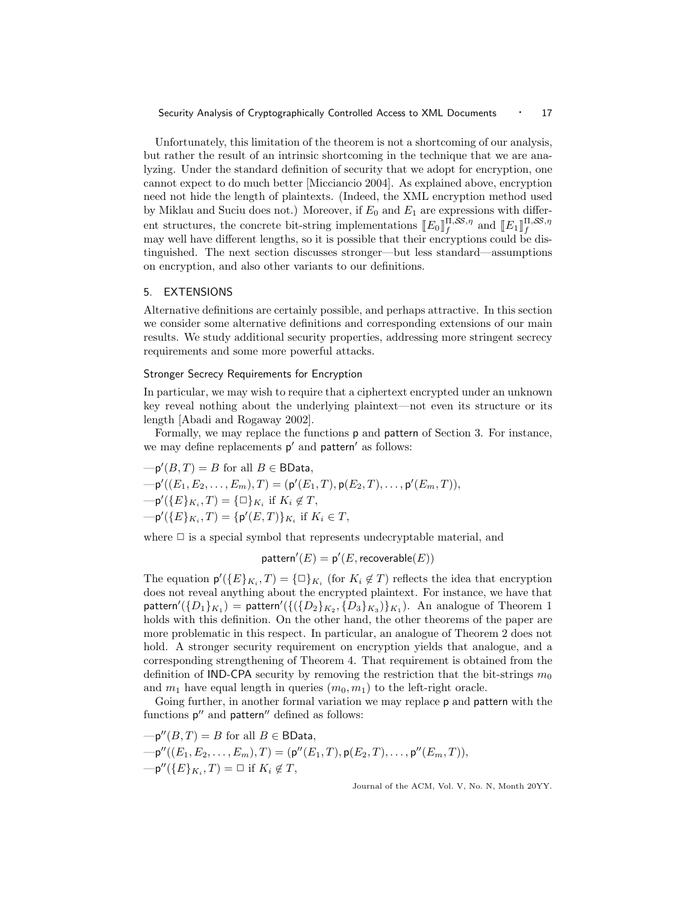Unfortunately, this limitation of the theorem is not a shortcoming of our analysis, but rather the result of an intrinsic shortcoming in the technique that we are analyzing. Under the standard definition of security that we adopt for encryption, one cannot expect to do much better [Micciancio 2004]. As explained above, encryption need not hide the length of plaintexts. (Indeed, the XML encryption method used by Miklau and Suciu does not.) Moreover, if  $E_0$  and  $E_1$  are expressions with different structures, the concrete bit-string implementations  $[[E_0]]_f^{\Pi,\mathcal{SS},\eta}$  and  $[[E_1]]_f^{\Pi,\mathcal{SS},\eta}$ may well have different lengths, so it is possible that their encryptions could be distinguished. The next section discusses stronger—but less standard—assumptions on encryption, and also other variants to our definitions.

## 5. EXTENSIONS

Alternative definitions are certainly possible, and perhaps attractive. In this section we consider some alternative definitions and corresponding extensions of our main results. We study additional security properties, addressing more stringent secrecy requirements and some more powerful attacks.

## Stronger Secrecy Requirements for Encryption

In particular, we may wish to require that a ciphertext encrypted under an unknown key reveal nothing about the underlying plaintext—not even its structure or its length [Abadi and Rogaway 2002].

Formally, we may replace the functions p and pattern of Section 3. For instance, we may define replacements  $p'$  and pattern' as follows:

$$
\begin{aligned}\n& -\mathsf{p}'(B,T) = B \text{ for all } B \in \text{BData}, \\
& -\mathsf{p}'((E_1, E_2, \dots, E_m), T) = (\mathsf{p}'(E_1, T), \mathsf{p}(E_2, T), \dots, \mathsf{p}'(E_m, T)), \\
& -\mathsf{p}'(\{E\}_{K_i}, T) = \{\Box\}_{K_i} \text{ if } K_i \notin T, \\
& -\mathsf{p}'(\{E\}_{K_i}, T) = \{\mathsf{p}'(E, T)\}_{K_i} \text{ if } K_i \in T,\n\end{aligned}
$$

where  $\Box$  is a special symbol that represents undecryptable material, and

 $\mathsf{pattern}'(E) = \mathsf{p}'(E,\mathsf{recoverable}(E))$ 

The equation  $\mathsf{p}'(\{E\}_{K_i},T) = {\square}_{K_i}$  (for  $K_i \notin T$ ) reflects the idea that encryption does not reveal anything about the encrypted plaintext. For instance, we have that pattern' $(\{D_1\}_{K_1})$  = pattern' $(\{(\{D_2\}_{K_2}, \{D_3\}_{K_3})\}_{K_1})$ . An analogue of Theorem 1 holds with this definition. On the other hand, the other theorems of the paper are more problematic in this respect. In particular, an analogue of Theorem 2 does not hold. A stronger security requirement on encryption yields that analogue, and a corresponding strengthening of Theorem 4. That requirement is obtained from the definition of IND-CPA security by removing the restriction that the bit-strings  $m_0$ and  $m_1$  have equal length in queries  $(m_0, m_1)$  to the left-right oracle.

Going further, in another formal variation we may replace p and pattern with the functions  $p''$  and  $pattern''$  defined as follows:

$$
-p''(B,T) = B \text{ for all } B \in \text{BData},
$$
  
\n
$$
-p''((E_1, E_2, \dots, E_m), T) = (p''(E_1, T), p(E_2, T), \dots, p''(E_m, T)),
$$
  
\n
$$
-p''(\{E\}_{K_i}, T) = \Box \text{ if } K_i \notin T,
$$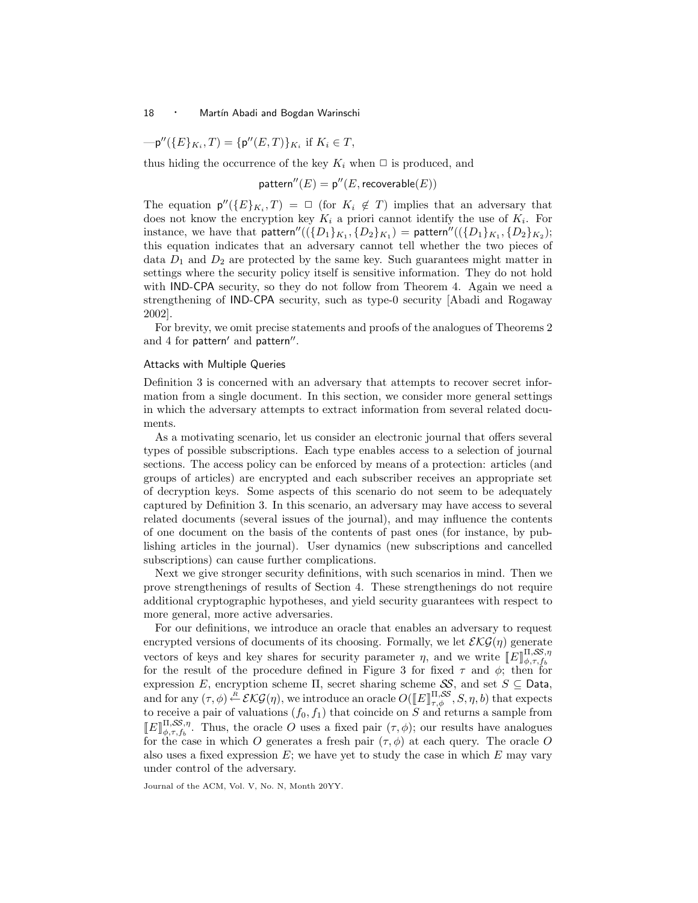$-\mathsf{p}''(\{E\}_{K_i},T) = {\mathsf{p}''(E,T)}_{K_i}$  if  $K_i \in T$ ,

thus hiding the occurrence of the key  $K_i$  when  $\Box$  is produced, and

$$
\mathsf{pattern}''(E) = \mathsf{p}''(E, \mathsf{recoverable}(E))
$$

The equation  $p''(\lbrace E \rbrace_{K_i}, T) = \Box$  (for  $K_i \notin T$ ) implies that an adversary that does not know the encryption key  $K_i$  a priori cannot identify the use of  $K_i$ . For instance, we have that  $\mathsf{pattern}''(\left(\{D_1\}_{K_1}, \{D_2\}_{K_1}\right) = \mathsf{pattern}''(\left(\{D_1\}_{K_1}, \{D_2\}_{K_2}\right);$ this equation indicates that an adversary cannot tell whether the two pieces of data  $D_1$  and  $D_2$  are protected by the same key. Such guarantees might matter in settings where the security policy itself is sensitive information. They do not hold with IND-CPA security, so they do not follow from Theorem 4. Again we need a strengthening of IND-CPA security, such as type-0 security [Abadi and Rogaway 2002].

For brevity, we omit precise statements and proofs of the analogues of Theorems 2 and  $4$  for pattern' and pattern".

## Attacks with Multiple Queries

Definition 3 is concerned with an adversary that attempts to recover secret information from a single document. In this section, we consider more general settings in which the adversary attempts to extract information from several related documents.

As a motivating scenario, let us consider an electronic journal that offers several types of possible subscriptions. Each type enables access to a selection of journal sections. The access policy can be enforced by means of a protection: articles (and groups of articles) are encrypted and each subscriber receives an appropriate set of decryption keys. Some aspects of this scenario do not seem to be adequately captured by Definition 3. In this scenario, an adversary may have access to several related documents (several issues of the journal), and may influence the contents of one document on the basis of the contents of past ones (for instance, by publishing articles in the journal). User dynamics (new subscriptions and cancelled subscriptions) can cause further complications.

Next we give stronger security definitions, with such scenarios in mind. Then we prove strengthenings of results of Section 4. These strengthenings do not require additional cryptographic hypotheses, and yield security guarantees with respect to more general, more active adversaries.

For our definitions, we introduce an oracle that enables an adversary to request encrypted versions of documents of its choosing. Formally, we let  $\mathcal{EKG}(\eta)$  generate vectors of keys and key shares for security parameter  $\eta$ , and we write  $[[E]]_{\phi,\tau,f_b}^{\Pi,\mathcal{SS},\eta}$ for the result of the procedure defined in Figure 3 for fixed  $\tau$  and  $\phi$ ; then for expression E, encryption scheme  $\Pi$ , secret sharing scheme  $\mathcal{SS}$ , and set  $S \subseteq$  Data, and for any  $(\tau, \phi) \stackrel{\kappa}{\leftarrow} \mathcal{EKG}(\eta)$ , we introduce an oracle  $O(\llbracket E \rrbracket^{\Pi,\mathcal{SS}}_{\tau,\phi}, S, \eta, b)$  that expects to receive a pair of valuations  $(f_0, f_1)$  that coincide on S and returns a sample from  $\llbracket E \rrbracket_{\phi,\tau,f_b}^{\Pi,SS,\eta}$ . Thus, the oracle O uses a fixed pair  $(\tau,\phi)$ ; our results have analogues for the case in which O generates a fresh pair  $(\tau,\phi)$  at each query. The oracle O also uses a fixed expression  $E$ ; we have yet to study the case in which  $E$  may vary under control of the adversary.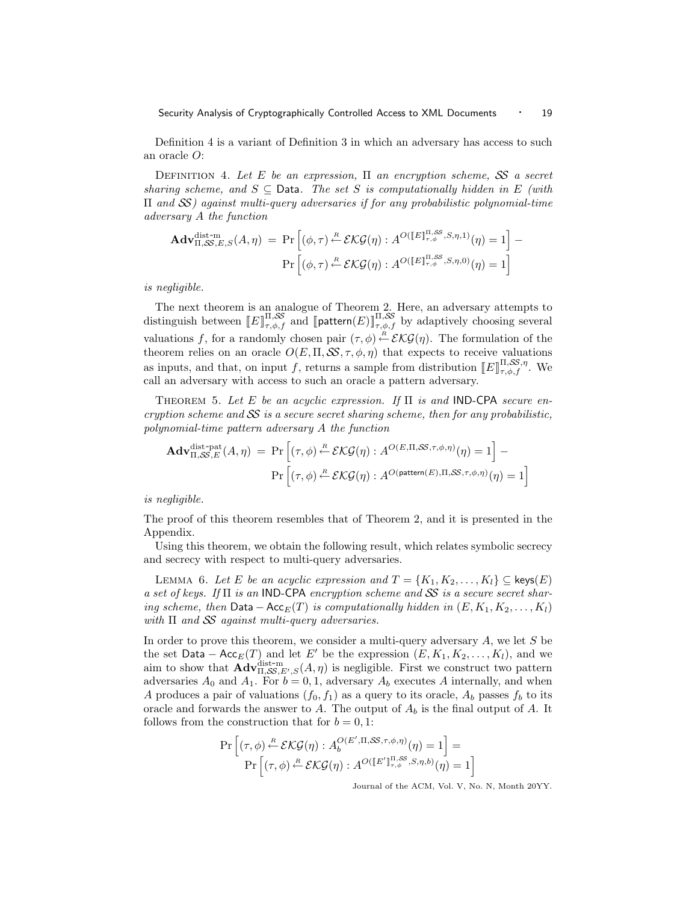Definition 4 is a variant of Definition 3 in which an adversary has access to such an oracle O:

Definition 4. *Let* E *be an expression,* Π *an encryption scheme,* SS *a secret sharing scheme, and*  $S \subseteq$  Data*. The set* S *is computationally hidden in* E *(with*) Π *and* SS*) against multi-query adversaries if for any probabilistic polynomial-time adversary* A *the function*

$$
\mathbf{Adv}_{\Pi,\mathcal{SS},E,S}^{\text{dist-m}}(A,\eta) = \Pr\left[ (\phi,\tau) \stackrel{R}{\leftarrow} \mathcal{EKG}(\eta) : A^{O([\![E]\!]_{\tau,\phi}^{\Pi,S\mathcal{SS}},S,\eta,1)}(\eta) = 1 \right] - \Pr\left[ (\phi,\tau) \stackrel{R}{\leftarrow} \mathcal{EKG}(\eta) : A^{O([\![E]\!]_{\tau,\phi}^{\Pi,S\mathcal{SS}},S,\eta,0)}(\eta) = 1 \right]
$$

*is negligible.*

The next theorem is an analogue of Theorem 2. Here, an adversary attempts to distinguish between  $[[E]]_{\tau,\phi,f}^{\Pi,\text{SS}}$  and  $[[\text{pattern}(E)]_{\tau,\phi,f}^{\Pi,\text{SS}}$  by adaptively choosing several valuations f, for a randomly chosen pair  $(\tau, \phi) \stackrel{R}{\leftarrow} \mathcal{EKG}(\eta)$ . The formulation of the theorem relies on an oracle  $O(E, \Pi, \mathcal{S}, \tau, \phi, \eta)$  that expects to receive valuations as inputs, and that, on input f, returns a sample from distribution  $[[E]]_{\tau,\phi,f}^{\Pi,\mathcal{SS},\eta}$ . We call an adversary with access to such an oracle a pattern adversary.

Theorem 5. *Let* E *be an acyclic expression. If* Π *is and* IND-CPA *secure encryption scheme and* SS *is a secure secret sharing scheme, then for any probabilistic, polynomial-time pattern adversary* A *the function*

$$
\mathbf{Adv}_{\Pi, \mathcal{SS}, E}^{\text{dist-path}}(A, \eta) = \Pr \left[ (\tau, \phi) \stackrel{R}{\leftarrow} \mathcal{EKG}(\eta) : A^{O(E, \Pi, \mathcal{SS}, \tau, \phi, \eta)}(\eta) = 1 \right] - \Pr \left[ (\tau, \phi) \stackrel{R}{\leftarrow} \mathcal{EKG}(\eta) : A^{O(\text{pattern}(E), \Pi, \mathcal{SS}, \tau, \phi, \eta)}(\eta) = 1 \right]
$$

*is negligible.*

The proof of this theorem resembles that of Theorem 2, and it is presented in the Appendix.

Using this theorem, we obtain the following result, which relates symbolic secrecy and secrecy with respect to multi-query adversaries.

LEMMA 6. Let E be an acyclic expression and  $T = \{K_1, K_2, \ldots, K_l\} \subseteq \text{keys}(E)$ *a set of keys. If* Π *is an* IND-CPA *encryption scheme and* SS *is a secure secret sharing scheme, then* Data –  $Acc_E(T)$  *is computationally hidden in*  $(E, K_1, K_2, \ldots, K_l)$ *with* Π *and* SS *against multi-query adversaries.*

In order to prove this theorem, we consider a multi-query adversary  $A$ , we let  $S$  be the set Data – Acc<sub>E</sub>(T) and let E' be the expression  $(E, K_1, K_2, \ldots, K_l)$ , and we aim to show that  $\mathbf{Adv}_{\Pi,\mathcal{SS},E',S}^{dist-m}(A,\eta)$  is negligible. First we construct two pattern adversaries  $A_0$  and  $A_1$ . For  $b = 0, 1$ , adversary  $A_b$  executes A internally, and when A produces a pair of valuations  $(f_0, f_1)$  as a query to its oracle,  $A_b$  passes  $f_b$  to its oracle and forwards the answer to A. The output of  $A_b$  is the final output of A. It follows from the construction that for  $b = 0, 1$ :

$$
\Pr\left[(\tau,\phi) \stackrel{R}{\leftarrow} \mathcal{EKG}(\eta) : A_b^{O(E',\Pi,\mathcal{SS},\tau,\phi,\eta)}(\eta) = 1\right] =
$$

$$
\Pr\left[(\tau,\phi) \stackrel{R}{\leftarrow} \mathcal{EKG}(\eta) : A^{O(\llbracket E'\rrbracket_{\tau,\phi}^{\Pi,S\mathcal{SS},\eta,b})}(\eta) = 1\right]
$$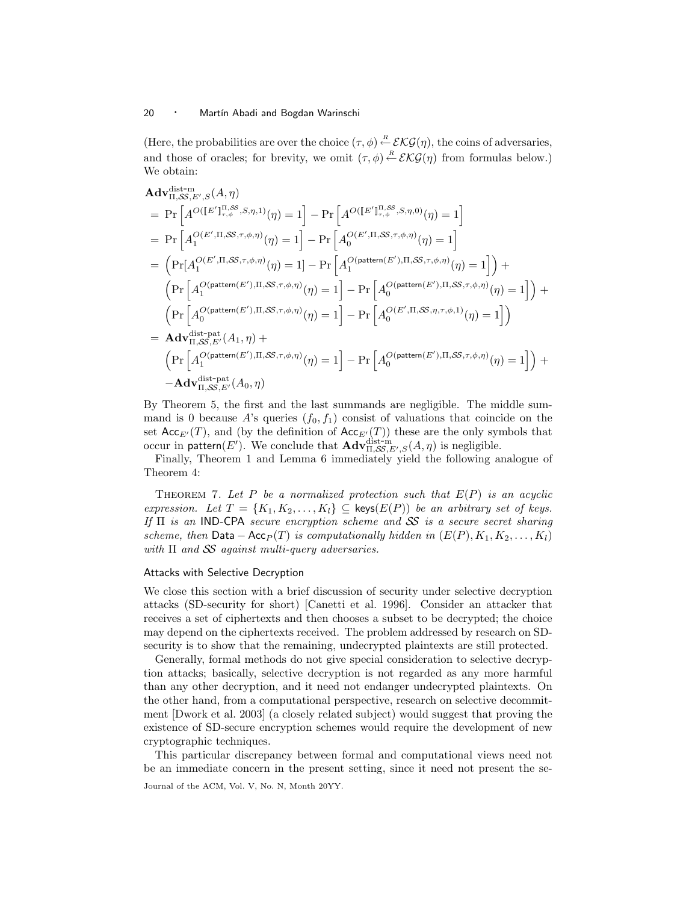(Here, the probabilities are over the choice  $(\tau, \phi) \stackrel{R}{\leftarrow} \mathcal{E} \mathcal{KG}(\eta)$ , the coins of adversaries, and those of oracles; for brevity, we omit  $(\tau, \phi) \stackrel{R}{\leftarrow} \mathcal{E} \mathcal{K} \mathcal{G}(\eta)$  from formulas below.) We obtain:

$$
\begin{split} &\mathbf{Adv}_{\Pi,\mathcal{SS},E',S}^{\text{dist-m}}(A,\eta) \\ &=\Pr\left[A^{O([E']_{\tau,\phi}^{\Pi,SS},S,\eta,1)}(\eta)=1\right]-\Pr\left[A^{O([E']_{\tau,\phi}^{\Pi,SS},S,\eta,0)}(\eta)=1\right]\\ &=\Pr\left[A^{O(E',\Pi,SS,\tau,\phi,\eta)}_{1}(\eta)=1\right]-\Pr\left[A^{O(E',\Pi,SS,\tau,\phi,\eta)}_{0}(\eta)=1\right]\\ &=\left(\Pr[A^{O(E',\Pi,SS,\tau,\phi,\eta)}_{1}(\eta)=1]-\Pr\left[A^{O(\text{pattern}(E'),\Pi,SS,\tau,\phi,\eta)}_{1}(\eta)=1\right]\right)+\\ &\left(\Pr\left[A^{O(\text{pattern}(E'),\Pi,SS,\tau,\phi,\eta)}_{1}(\eta)=1\right]-\Pr\left[A^{O(\text{pattern}(E'),\Pi,SS,\tau,\phi,\eta)}_{0}(\eta)=1\right]\right)+\\ &\left(\Pr\left[A^{O(\text{pattern}(E'),\Pi,SS,\tau,\phi,\eta)}_{0}(\eta)=1\right]-\Pr\left[A^{O(E',\Pi,SS,\eta,\tau,\phi,1)}_{0}(\eta)=1\right]\right)\\ &=\mathbf{Adv}_{\Pi,SS,E'}^{\text{dist-pat}}(A_1,\eta)+\\ &\left(\Pr\left[A^{O(\text{pattern}(E'),\Pi,SS,\tau,\phi,\eta)}_{1}(\eta)=1\right]-\Pr\left[A^{O(\text{pattern}(E'),\Pi,SS,\tau,\phi,\eta)}_{0}(\eta)=1\right]\right)+\\ &-\mathbf{Adv}_{\Pi,SS,E'}^{\text{dist-pat}}(A_0,\eta) \end{split}
$$

By Theorem 5, the first and the last summands are negligible. The middle summand is 0 because A's queries  $(f_0, f_1)$  consist of valuations that coincide on the set  $\text{Acc}_{E'}(T)$ , and (by the definition of  $\text{Acc}_{E'}(T)$ ) these are the only symbols that  ${\rm occur}$  in  ${\sf pattern}(E'$ ). We conclude that  $\mathbf{Adv}_{\Pi,\mathcal{S}\mathcal{S},E',S}^{dist-m}(A,\eta)$  is negligible.

Finally, Theorem 1 and Lemma 6 immediately yield the following analogue of Theorem 4:

Theorem 7. *Let* P *be a normalized protection such that* E(P) *is an acyclic expression.* Let  $T = \{K_1, K_2, \ldots, K_l\} \subseteq \text{keys}(E(P))$  *be an arbitrary set of keys. If* Π *is an* IND-CPA *secure encryption scheme and* SS *is a secure secret sharing scheme, then* Data –  $Acc_P(T)$  *is computationally hidden in*  $(E(P), K_1, K_2, \ldots, K_l)$ *with* Π *and* SS *against multi-query adversaries.*

## Attacks with Selective Decryption

We close this section with a brief discussion of security under selective decryption attacks (SD-security for short) [Canetti et al. 1996]. Consider an attacker that receives a set of ciphertexts and then chooses a subset to be decrypted; the choice may depend on the ciphertexts received. The problem addressed by research on SDsecurity is to show that the remaining, undecrypted plaintexts are still protected.

Generally, formal methods do not give special consideration to selective decryption attacks; basically, selective decryption is not regarded as any more harmful than any other decryption, and it need not endanger undecrypted plaintexts. On the other hand, from a computational perspective, research on selective decommitment [Dwork et al. 2003] (a closely related subject) would suggest that proving the existence of SD-secure encryption schemes would require the development of new cryptographic techniques.

This particular discrepancy between formal and computational views need not be an immediate concern in the present setting, since it need not present the se-Journal of the ACM, Vol. V, No. N, Month 20YY.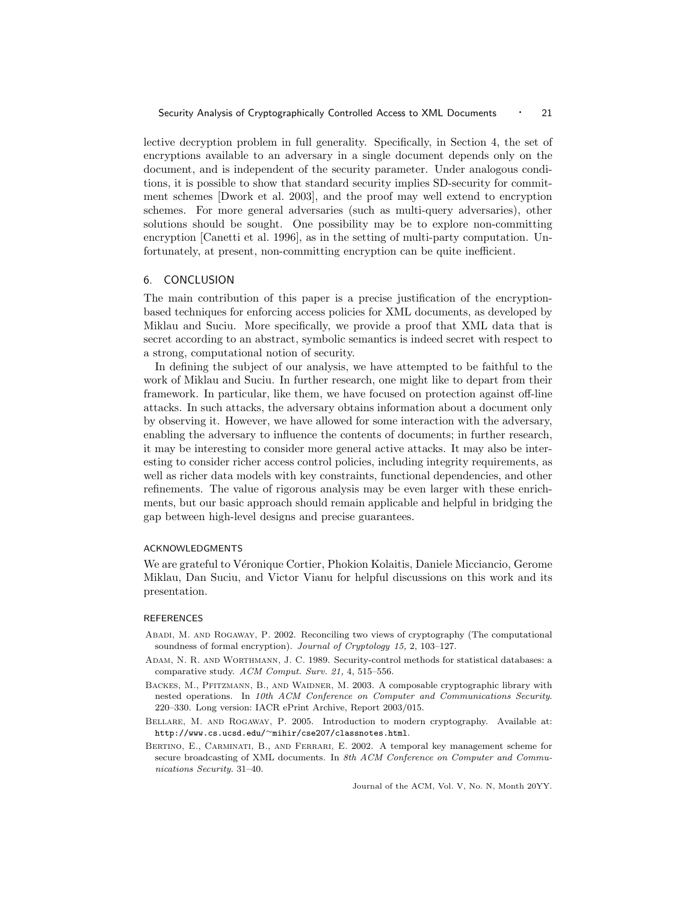lective decryption problem in full generality. Specifically, in Section 4, the set of encryptions available to an adversary in a single document depends only on the document, and is independent of the security parameter. Under analogous conditions, it is possible to show that standard security implies SD-security for commitment schemes [Dwork et al. 2003], and the proof may well extend to encryption schemes. For more general adversaries (such as multi-query adversaries), other solutions should be sought. One possibility may be to explore non-committing encryption [Canetti et al. 1996], as in the setting of multi-party computation. Unfortunately, at present, non-committing encryption can be quite inefficient.

## 6. CONCLUSION

The main contribution of this paper is a precise justification of the encryptionbased techniques for enforcing access policies for XML documents, as developed by Miklau and Suciu. More specifically, we provide a proof that XML data that is secret according to an abstract, symbolic semantics is indeed secret with respect to a strong, computational notion of security.

In defining the subject of our analysis, we have attempted to be faithful to the work of Miklau and Suciu. In further research, one might like to depart from their framework. In particular, like them, we have focused on protection against off-line attacks. In such attacks, the adversary obtains information about a document only by observing it. However, we have allowed for some interaction with the adversary, enabling the adversary to influence the contents of documents; in further research, it may be interesting to consider more general active attacks. It may also be interesting to consider richer access control policies, including integrity requirements, as well as richer data models with key constraints, functional dependencies, and other refinements. The value of rigorous analysis may be even larger with these enrichments, but our basic approach should remain applicable and helpful in bridging the gap between high-level designs and precise guarantees.

## ACKNOWLEDGMENTS

We are grateful to Véronique Cortier, Phokion Kolaitis, Daniele Micciancio, Gerome Miklau, Dan Suciu, and Victor Vianu for helpful discussions on this work and its presentation.

## **REFERENCES**

- Abadi, M. and Rogaway, P. 2002. Reconciling two views of cryptography (The computational soundness of formal encryption). *Journal of Cryptology 15,* 2, 103–127.
- Adam, N. R. and Worthmann, J. C. 1989. Security-control methods for statistical databases: a comparative study. *ACM Comput. Surv. 21,* 4, 515–556.
- BACKES, M., PFITZMANN, B., AND WAIDNER, M. 2003. A composable cryptographic library with nested operations. In *10th ACM Conference on Computer and Communications Security*. 220–330. Long version: IACR ePrint Archive, Report 2003/015.
- Bellare, M. and Rogaway, P. 2005. Introduction to modern cryptography. Available at: http://www.cs.ucsd.edu/∼mihir/cse207/classnotes.html.
- Bertino, E., Carminati, B., and Ferrari, E. 2002. A temporal key management scheme for secure broadcasting of XML documents. In *8th ACM Conference on Computer and Communications Security*. 31–40.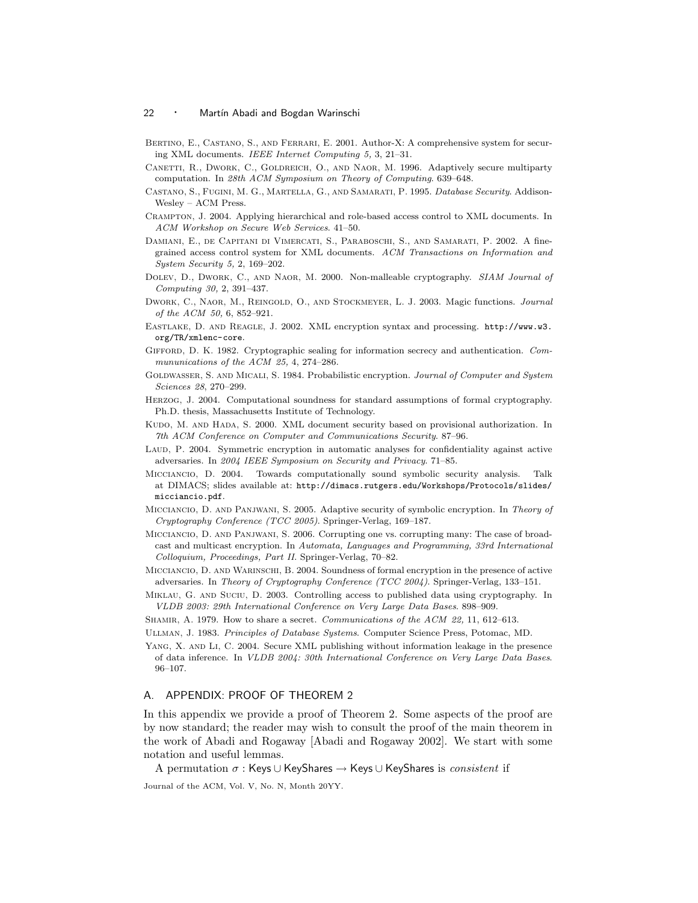- Bertino, E., Castano, S., and Ferrari, E. 2001. Author-X: A comprehensive system for securing XML documents. *IEEE Internet Computing 5,* 3, 21–31.
- CANETTI, R., DWORK, C., GOLDREICH, O., AND NAOR, M. 1996. Adaptively secure multiparty computation. In *28th ACM Symposium on Theory of Computing*. 639–648.
- Castano, S., Fugini, M. G., Martella, G., and Samarati, P. 1995. *Database Security*. Addison-Wesley – ACM Press.
- Crampton, J. 2004. Applying hierarchical and role-based access control to XML documents. In *ACM Workshop on Secure Web Services*. 41–50.
- Damiani, E., de Capitani di Vimercati, S., Paraboschi, S., and Samarati, P. 2002. A finegrained access control system for XML documents. *ACM Transactions on Information and System Security 5,* 2, 169–202.
- Dolev, D., Dwork, C., and Naor, M. 2000. Non-malleable cryptography. *SIAM Journal of Computing 30,* 2, 391–437.
- Dwork, C., Naor, M., Reingold, O., and Stockmeyer, L. J. 2003. Magic functions. *Journal of the ACM 50,* 6, 852–921.
- Eastlake, D. and Reagle, J. 2002. XML encryption syntax and processing. http://www.w3. org/TR/xmlenc-core.
- Gifford, D. K. 1982. Cryptographic sealing for information secrecy and authentication. *Commununications of the ACM 25,* 4, 274–286.
- Goldwasser, S. and Micali, S. 1984. Probabilistic encryption. *Journal of Computer and System Sciences 28*, 270–299.
- Herzog, J. 2004. Computational soundness for standard assumptions of formal cryptography. Ph.D. thesis, Massachusetts Institute of Technology.
- KUDO, M. AND HADA, S. 2000. XML document security based on provisional authorization. In *7th ACM Conference on Computer and Communications Security*. 87–96.
- LAUD, P. 2004. Symmetric encryption in automatic analyses for confidentiality against active adversaries. In *2004 IEEE Symposium on Security and Privacy*. 71–85.
- Micciancio, D. 2004. Towards computationally sound symbolic security analysis. Talk at DIMACS; slides available at: http://dimacs.rutgers.edu/Workshops/Protocols/slides/ micciancio.pdf.
- Micciancio, D. and Panjwani, S. 2005. Adaptive security of symbolic encryption. In *Theory of Cryptography Conference (TCC 2005)*. Springer-Verlag, 169–187.
- Micciancio, D. and Panjwani, S. 2006. Corrupting one vs. corrupting many: The case of broadcast and multicast encryption. In *Automata, Languages and Programming, 33rd International Colloquium, Proceedings, Part II*. Springer-Verlag, 70–82.
- Micciancio, D. and Warinschi, B. 2004. Soundness of formal encryption in the presence of active adversaries. In *Theory of Cryptography Conference (TCC 2004)*. Springer-Verlag, 133–151.
- Miklau, G. and Suciu, D. 2003. Controlling access to published data using cryptography. In *VLDB 2003: 29th International Conference on Very Large Data Bases*. 898–909.
- Shamir, A. 1979. How to share a secret. *Communications of the ACM 22,* 11, 612–613.
- Ullman, J. 1983. *Principles of Database Systems*. Computer Science Press, Potomac, MD.
- YANG, X. AND LI, C. 2004. Secure XML publishing without information leakage in the presence of data inference. In *VLDB 2004: 30th International Conference on Very Large Data Bases*. 96–107.

# A. APPENDIX: PROOF OF THEOREM 2

In this appendix we provide a proof of Theorem 2. Some aspects of the proof are by now standard; the reader may wish to consult the proof of the main theorem in the work of Abadi and Rogaway [Abadi and Rogaway 2002]. We start with some notation and useful lemmas.

A permutation σ : Keys ∪ KeyShares → Keys ∪ KeyShares is *consistent* if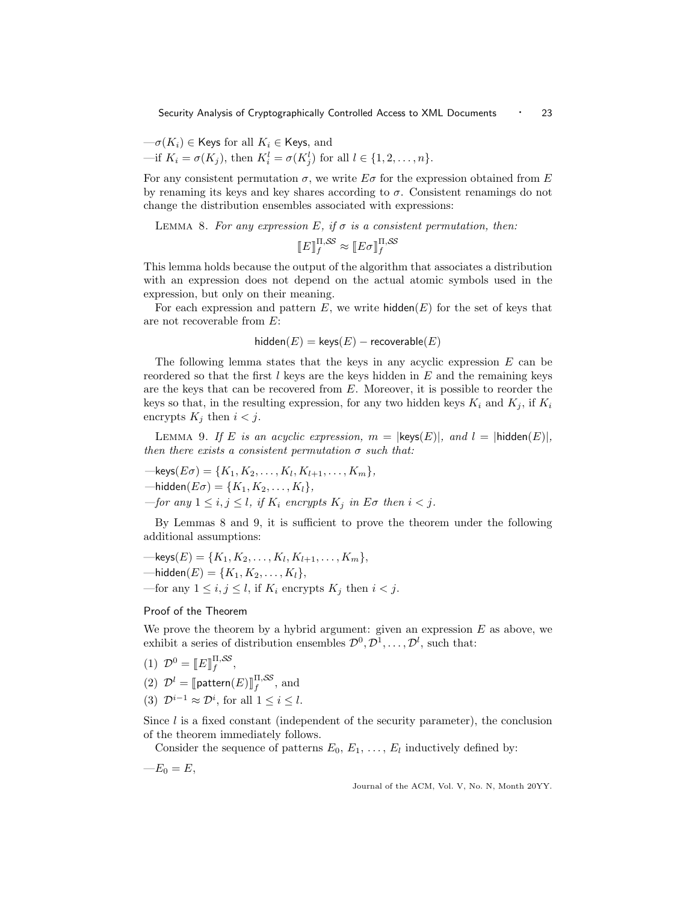Security Analysis of Cryptographically Controlled Access to XML Documents • 23

$$
-\sigma(K_i) \in \text{Keys for all } K_i \in \text{Keys, and}
$$
  
—if  $K_i = \sigma(K_j)$ , then  $K_i^l = \sigma(K_j^l)$  for all  $l \in \{1, 2, ..., n\}.$ 

For any consistent permutation  $\sigma$ , we write  $E\sigma$  for the expression obtained from E by renaming its keys and key shares according to  $\sigma$ . Consistent renamings do not change the distribution ensembles associated with expressions:

LEMMA 8. For any expression  $E$ , if  $\sigma$  is a consistent permutation, then:

$$
[\![E]\!]_f^{\Pi,\mathcal{S}\mathcal{S}}\approx[\![E\sigma]\!]_f^{\Pi,\mathcal{S}\mathcal{S}}
$$

This lemma holds because the output of the algorithm that associates a distribution with an expression does not depend on the actual atomic symbols used in the expression, but only on their meaning.

For each expression and pattern  $E$ , we write hidden( $E$ ) for the set of keys that are not recoverable from E:

$$
\mathsf{hidden}(E) = \mathsf{keys}(E) - \mathsf{recoverable}(E)
$$

The following lemma states that the keys in any acyclic expression  $E$  can be reordered so that the first  $l$  keys are the keys hidden in  $E$  and the remaining keys are the keys that can be recovered from E. Moreover, it is possible to reorder the keys so that, in the resulting expression, for any two hidden keys  $K_i$  and  $K_j$ , if  $K_i$ encrypts  $K_j$  then  $i < j$ .

LEMMA 9. If E is an acyclic expression,  $m = |\text{keys}(E)|$ , and  $l = |\text{hidden}(E)|$ , *then there exists a consistent permutation* σ *such that:*

 $-\text{keys}(E\sigma) = \{K_1, K_2, \ldots, K_l, K_{l+1}, \ldots, K_m\},\$ 

 $-\text{hidden}(E\sigma) = \{K_1, K_2, \ldots, K_l\},\$ 

 $-$ *for any*  $1 \leq i, j \leq l$ , *if*  $K_i$  *encrypts*  $K_j$  *in*  $E \sigma$  *then*  $i < j$ *.* 

By Lemmas 8 and 9, it is sufficient to prove the theorem under the following additional assumptions:

$$
-keys(E) = \{K_1, K_2, \dots, K_l, K_{l+1}, \dots, K_m\},
$$
  
—hidden(E) =  $\{K_1, K_2, \dots, K_l\},$   
—for any  $1 \le i, j \le l$ , if  $K_i$  encrypts  $K_j$  then  $i < j$ .

#### Proof of the Theorem

We prove the theorem by a hybrid argument: given an expression  $E$  as above, we exhibit a series of distribution ensembles  $\mathcal{D}^0, \mathcal{D}^1, \ldots, \mathcal{D}^l$ , such that:

- (1)  $\mathcal{D}^0 = \llbracket E \rrbracket^{\Pi,\mathcal{S}\mathcal{S}}_f$
- (2)  $\mathcal{D}^l = \llbracket \mathsf{pattern}(E) \rrbracket_f^{\Pi,\mathcal{SS}},$  and
- (3)  $\mathcal{D}^{i-1} \approx \mathcal{D}^i$ , for all  $1 \leq i \leq l$ .

Since  $l$  is a fixed constant (independent of the security parameter), the conclusion of the theorem immediately follows.

Consider the sequence of patterns  $E_0, E_1, \ldots, E_l$  inductively defined by:

 $-E_0 = E$ ,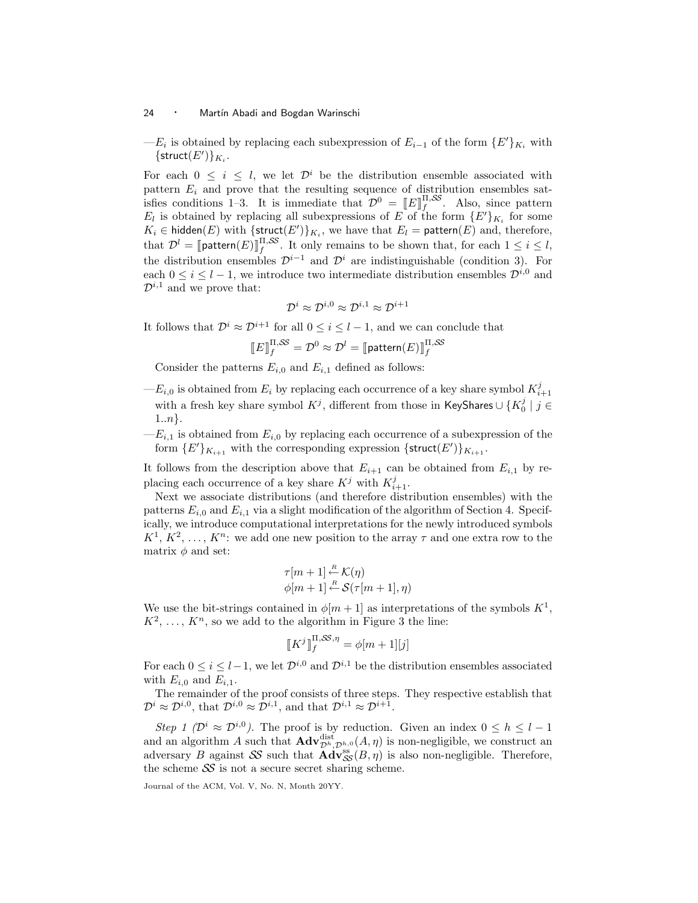$-E_i$  is obtained by replacing each subexpression of  $E_{i-1}$  of the form  $\{E'\}_{K_i}$  with  $\{{\sf struct}(E')\}_{K_i}.$ 

For each  $0 \leq i \leq l$ , we let  $\mathcal{D}^i$  be the distribution ensemble associated with pattern  $E_i$  and prove that the resulting sequence of distribution ensembles satisfies conditions 1–3. It is immediate that  $\mathcal{D}^0 = [\![E]\!]_f^{\Pi,\mathcal{SS}}$ . Also, since pattern  $E_l$  is obtained by replacing all subexpressions of E of the form  $\{E'\}_{K_i}$  for some  $K_i \in \mathsf{hidden}(E)$  with  $\{\mathsf{struct}(E')\}_{K_i}$ , we have that  $E_l = \mathsf{pattern}(E)$  and, therefore, that  $\mathcal{D}^l = \llbracket \mathsf{pattern}(E) \rrbracket_f^{\Pi,\mathcal{S}\mathcal{S}}$ . It only remains to be shown that, for each  $1 \leq i \leq l$ , the distribution ensembles  $\mathcal{D}^{i-1}$  and  $\mathcal{D}^i$  are indistinguishable (condition 3). For each  $0 \leq i \leq l-1$ , we introduce two intermediate distribution ensembles  $\mathcal{D}^{i,0}$  and  $\mathcal{D}^{i,1}$  and we prove that:

$$
\mathcal{D}^i \approx \mathcal{D}^{i,0} \approx \mathcal{D}^{i,1} \approx \mathcal{D}^{i+1}
$$

It follows that  $\mathcal{D}^i \approx \mathcal{D}^{i+1}$  for all  $0 \leq i \leq l-1$ , and we can conclude that

$$
\llbracket E \rrbracket^{\Pi,\mathcal{S}\mathcal{S}}_f = \mathcal{D}^0 \approx \mathcal{D}^l = \llbracket \mathsf{pattern}(E) \rrbracket^{\Pi,\mathcal{S}\mathcal{S}}_f
$$

Consider the patterns  $E_{i,0}$  and  $E_{i,1}$  defined as follows:

- $-E_{i,0}$  is obtained from  $E_i$  by replacing each occurrence of a key share symbol  $K_{i+1}^j$ with a fresh key share symbol  $K^j,$  different from those in KeyShares  $\cup$   $\{K^j_0 \mid j \in$ 1..n}.
- $-E_{i,1}$  is obtained from  $E_{i,0}$  by replacing each occurrence of a subexpression of the form  $\{E'\}_{K_{i+1}}$  with the corresponding expression  $\{\textsf{struct}(E')\}_{K_{i+1}}$ .

It follows from the description above that  $E_{i+1}$  can be obtained from  $E_{i,1}$  by replacing each occurrence of a key share  $K^j$  with  $K^j_{i+1}$ .

Next we associate distributions (and therefore distribution ensembles) with the patterns  $E_{i,0}$  and  $E_{i,1}$  via a slight modification of the algorithm of Section 4. Specifically, we introduce computational interpretations for the newly introduced symbols  $K^1, K^2, \ldots, K^n$ : we add one new position to the array  $\tau$  and one extra row to the matrix  $\phi$  and set:

$$
\tau[m+1] \stackrel{R}{\leftarrow} \mathcal{K}(\eta)
$$
  

$$
\phi[m+1] \stackrel{R}{\leftarrow} \mathcal{S}(\tau[m+1], \eta)
$$

We use the bit-strings contained in  $\phi[m+1]$  as interpretations of the symbols  $K^1$ ,  $K^2, \ldots, K^n$ , so we add to the algorithm in Figure 3 the line:

$$
\llbracket K^j \rrbracket^{\Pi,\mathcal{SS},\eta}_f = \phi[m+1][j]
$$

For each  $0 \leq i \leq l-1$ , we let  $\mathcal{D}^{i,0}$  and  $\mathcal{D}^{i,1}$  be the distribution ensembles associated with  $E_{i,0}$  and  $E_{i,1}$ .

The remainder of the proof consists of three steps. They respective establish that  $\mathcal{D}^i \approx \mathcal{D}^{i,0}$ , that  $\mathcal{D}^{i,0} \approx \mathcal{D}^{i,1}$ , and that  $\mathcal{D}^{i,1} \approx \mathcal{D}^{i+1}$ .

*Step 1 (* $\mathcal{D}^i \approx \mathcal{D}^{i,0}$ *).* The proof is by reduction. Given an index  $0 \leq h \leq l-1$ and an algorithm A such that  $\mathbf{Adv}_{\mathcal{D}^{h},\mathcal{D}^{k,0}}^{\text{dist}}(A,\eta)$  is non-negligible, we construct an adversary B against  $\mathcal{S}\mathcal{S}$  such that  $\mathbf{Adv}_{\mathcal{S}\mathcal{S}}^{\mathcal{S}\mathcal{S}}(B,\eta)$  is also non-negligible. Therefore, the scheme  $\mathcal{S}$  is not a secure secret sharing scheme.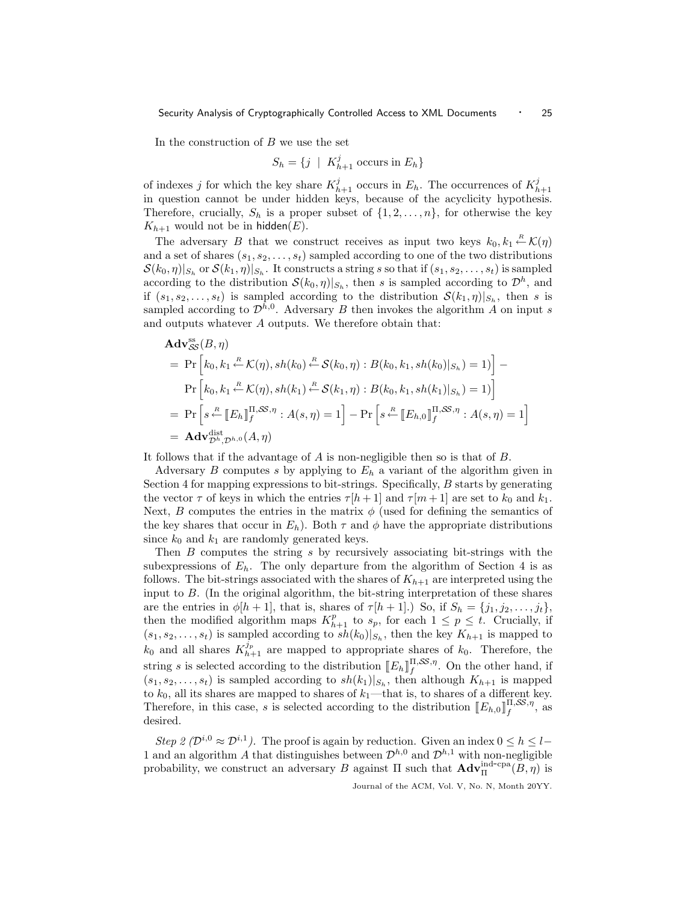In the construction of  $B$  we use the set

$$
S_h = \{ j \mid K_{h+1}^j \text{ occurs in } E_h \}
$$

of indexes j for which the key share  $K_{h+1}^j$  occurs in  $E_h$ . The occurrences of  $K_{h+1}^j$ in question cannot be under hidden keys, because of the acyclicity hypothesis. Therefore, crucially,  $S_h$  is a proper subset of  $\{1, 2, \ldots, n\}$ , for otherwise the key  $K_{h+1}$  would not be in hidden(E).

The adversary B that we construct receives as input two keys  $k_0, k_1 \stackrel{R}{\leftarrow} \mathcal{K}(\eta)$ and a set of shares  $(s_1, s_2, \ldots, s_t)$  sampled according to one of the two distributions  $\mathcal{S}(k_0,\eta)|_{S_h}$  or  $\mathcal{S}(k_1,\eta)|_{S_h}$ . It constructs a string s so that if  $(s_1, s_2, \ldots, s_t)$  is sampled according to the distribution  $\mathcal{S}(k_0, \eta)|_{S_h}$ , then s is sampled according to  $\mathcal{D}^h$ , and if  $(s_1, s_2,...,s_t)$  is sampled according to the distribution  $\mathcal{S}(k_1, \eta)|_{S_h}$ , then s is sampled according to  $\mathcal{D}^{h,0}$ . Adversary B then invokes the algorithm A on input s and outputs whatever  $\boldsymbol{A}$  outputs. We therefore obtain that:

$$
\mathbf{Adv}_{\mathcal{S}}^{\mathit{ss}}(B,\eta) \n= \Pr \left[ k_0, k_1 \stackrel{R}{\leftarrow} \mathcal{K}(\eta), sh(k_0) \stackrel{R}{\leftarrow} \mathcal{S}(k_0, \eta) : B(k_0, k_1, sh(k_0)|_{S_h}) = 1) \right] - \n\Pr \left[ k_0, k_1 \stackrel{R}{\leftarrow} \mathcal{K}(\eta), sh(k_1) \stackrel{R}{\leftarrow} \mathcal{S}(k_1, \eta) : B(k_0, k_1, sh(k_1)|_{S_h}) = 1) \right] \n= \Pr \left[ s \stackrel{R}{\leftarrow} \llbracket E_h \rrbracket_{f}^{\Pi, \mathcal{S\mathcal{S}}, \eta} : A(s, \eta) = 1 \right] - \Pr \left[ s \stackrel{R}{\leftarrow} \llbracket E_{h,0} \rrbracket_{f}^{\Pi, \mathcal{S\mathcal{S}}, \eta} : A(s, \eta) = 1 \right] \n= \mathbf{Adv}_{\mathcal{D}^h, \mathcal{D}^h, 0}^{\text{dist}}(A, \eta)
$$

It follows that if the advantage of  $A$  is non-negligible then so is that of  $B$ .

Adversary B computes s by applying to  $E_h$  a variant of the algorithm given in Section 4 for mapping expressions to bit-strings. Specifically, B starts by generating the vector  $\tau$  of keys in which the entries  $\tau[h+1]$  and  $\tau[m+1]$  are set to  $k_0$  and  $k_1$ . Next, B computes the entries in the matrix  $\phi$  (used for defining the semantics of the key shares that occur in  $E_h$ ). Both  $\tau$  and  $\phi$  have the appropriate distributions since  $k_0$  and  $k_1$  are randomly generated keys.

Then B computes the string s by recursively associating bit-strings with the subexpressions of  $E<sub>h</sub>$ . The only departure from the algorithm of Section 4 is as follows. The bit-strings associated with the shares of  $K_{h+1}$  are interpreted using the input to  $B$ . (In the original algorithm, the bit-string interpretation of these shares are the entries in  $\phi[h+1]$ , that is, shares of  $\tau[h+1]$ .) So, if  $S_h = \{j_1, j_2, \ldots, j_t\}$ , then the modified algorithm maps  $K_{h+1}^p$  to  $s_p$ , for each  $1 \leq p \leq t$ . Crucially, if  $(s_1, s_2, \ldots, s_t)$  is sampled according to  $sh(k_0)|_{S_h}$ , then the key  $K_{h+1}$  is mapped to  $k_0$  and all shares  $K_{h+1}^{j_p}$  are mapped to appropriate shares of  $k_0$ . Therefore, the string s is selected according to the distribution  $[[E_h]]_f^{\Pi,S,S,\eta}$ . On the other hand, if  $(s_1, s_2, \ldots, s_t)$  is sampled according to  $sh(k_1)|_{S_h}$ , then although  $K_{h+1}$  is mapped to  $k_0$ , all its shares are mapped to shares of  $k_1$ —that is, to shares of a different key. Therefore, in this case, s is selected according to the distribution  $[[E_{h,0}]]_f^{[1,\infty,\eta]}$ , as desired.

*Step 2 (* $\mathcal{D}^{i,0} \approx \mathcal{D}^{i,1}$ ). The proof is again by reduction. Given an index  $0 \leq h \leq l-$ 1 and an algorithm A that distinguishes between  $\mathcal{D}^{h,0}$  and  $\mathcal{D}^{h,1}$  with non-negligible probability, we construct an adversary B against  $\Pi$  such that  $\mathbf{Adv}_{\Pi}^{\text{ind-cpa}}(B,\eta)$  is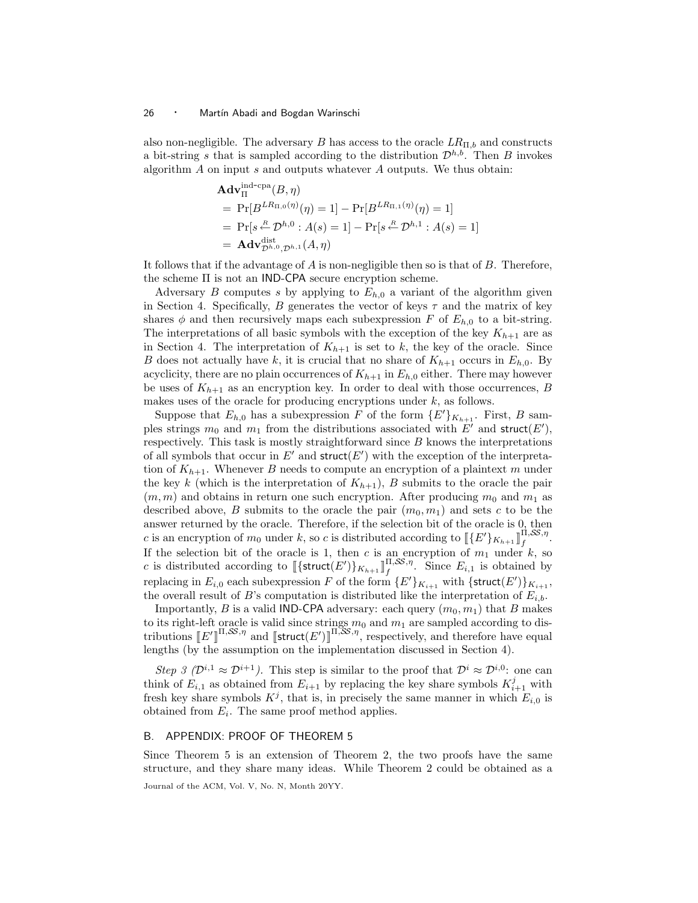also non-negligible. The adversary B has access to the oracle  $LR_{\Pi,b}$  and constructs a bit-string s that is sampled according to the distribution  $\mathcal{D}^{h,b}$ . Then B invokes algorithm  $A$  on input  $s$  and outputs whatever  $A$  outputs. We thus obtain:

$$
\mathbf{Adv}_{\Pi}^{\text{ind-cpa}}(B, \eta) \n= \Pr[B^{LR_{\Pi,0}(\eta)}(\eta) = 1] - \Pr[B^{LR_{\Pi,1}(\eta)}(\eta) = 1] \n= \Pr[s \stackrel{R}{\leftarrow} \mathcal{D}^{h,0} : A(s) = 1] - \Pr[s \stackrel{R}{\leftarrow} \mathcal{D}^{h,1} : A(s) = 1] \n= \mathbf{Adv}_{\mathcal{D}^{h,0},\mathcal{D}^{h,1}}^{dist}(A, \eta)
$$

It follows that if the advantage of  $A$  is non-negligible then so is that of  $B$ . Therefore, the scheme Π is not an IND-CPA secure encryption scheme.

Adversary B computes s by applying to  $E_{h,0}$  a variant of the algorithm given in Section 4. Specifically, B generates the vector of keys  $\tau$  and the matrix of key shares  $\phi$  and then recursively maps each subexpression F of  $E_{h,0}$  to a bit-string. The interpretations of all basic symbols with the exception of the key  $K_{h+1}$  are as in Section 4. The interpretation of  $K_{h+1}$  is set to k, the key of the oracle. Since B does not actually have k, it is crucial that no share of  $K_{h+1}$  occurs in  $E_{h,0}$ . By acyclicity, there are no plain occurrences of  $K_{h+1}$  in  $E_{h,0}$  either. There may however be uses of  $K_{h+1}$  as an encryption key. In order to deal with those occurrences, B makes uses of the oracle for producing encryptions under  $k$ , as follows.

Suppose that  $E_{h,0}$  has a subexpression F of the form  $\{E'\}_{K_{h+1}}$ . First, B samples strings  $m_0$  and  $m_1$  from the distributions associated with E' and struct(E'), respectively. This task is mostly straightforward since  $B$  knows the interpretations of all symbols that occur in  $E'$  and struct $(E')$  with the exception of the interpretation of  $K_{h+1}$ . Whenever B needs to compute an encryption of a plaintext m under the key k (which is the interpretation of  $K_{h+1}$ ), B submits to the oracle the pair  $(m, m)$  and obtains in return one such encryption. After producing  $m_0$  and  $m_1$  as described above, B submits to the oracle the pair  $(m_0, m_1)$  and sets c to be the answer returned by the oracle. Therefore, if the selection bit of the oracle is 0, then c is an encryption of  $m_0$  under k, so c is distributed according to  $\llbracket \{E'\}_{K_{h+1}} \rrbracket_f^{\text{II},\text{SS},\eta}$ . If the selection bit of the oracle is 1, then c is an encryption of  $m_1$  under k, so c is distributed according to  $\llbracket \{\text{struct}(E')\}_{K_{h+1}} \rrbracket_{f}^{\Pi,SS,\eta}$ . Since  $E_{i,1}$  is obtained by replacing in  $E_{i,0}$  each subexpression F of the form  $\{E'\}_{K_{i+1}}$  with  $\{\textsf{struct}(E')\}_{K_{i+1}},$ the overall result of B's computation is distributed like the interpretation of  $E_{i,b}$ .

Importantly, B is a valid IND-CPA adversary: each query  $(m_0, m_1)$  that B makes to its right-left oracle is valid since strings  $m_0$  and  $m_1$  are sampled according to distributions  $[[E']^{\Pi,\mathcal{SS},\eta}$  and  $[[\text{struct}(E')]]^{\Pi,\mathcal{SS},\eta}$ , respectively, and therefore have equal lengths (by the assumption on the implementation discussed in Section 4).

*Step 3 (* $\mathcal{D}^{i,1} \approx \mathcal{D}^{i+1}$ ). This step is similar to the proof that  $\mathcal{D}^i \approx \mathcal{D}^{i,0}$ : one can think of  $E_{i,1}$  as obtained from  $E_{i+1}$  by replacing the key share symbols  $K_{i+1}^j$  with fresh key share symbols  $K^j$ , that is, in precisely the same manner in which  $E_{i,0}$  is obtained from  $E_i$ . The same proof method applies.

## B. APPENDIX: PROOF OF THEOREM 5

Since Theorem 5 is an extension of Theorem 2, the two proofs have the same structure, and they share many ideas. While Theorem 2 could be obtained as a Journal of the ACM, Vol. V, No. N, Month 20YY.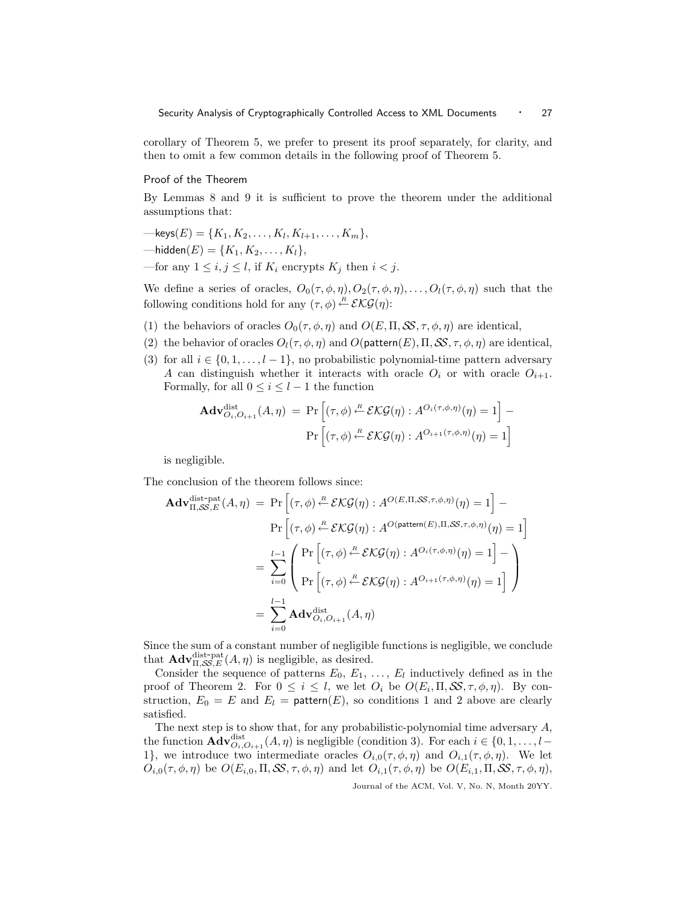corollary of Theorem 5, we prefer to present its proof separately, for clarity, and then to omit a few common details in the following proof of Theorem 5.

#### Proof of the Theorem

By Lemmas 8 and 9 it is sufficient to prove the theorem under the additional assumptions that:

$$
-keys(E) = \{K_1, K_2, \dots, K_l, K_{l+1}, \dots, K_m\},
$$
  
—hidden(E) =  $\{K_1, K_2, \dots, K_l\},$   
—for any  $1 \le i, j \le l$ , if  $K_i$  encrypts  $K_j$  then  $i < j$ .

We define a series of oracles,  $O_0(\tau, \phi, \eta), O_2(\tau, \phi, \eta), \ldots, O_l(\tau, \phi, \eta)$  such that the following conditions hold for any  $(\tau, \phi) \stackrel{R}{\leftarrow} \mathcal{E} \mathcal{K} \mathcal{G}(\eta)$ :

- (1) the behaviors of oracles  $O_0(\tau, \phi, \eta)$  and  $O(E, \Pi, \mathcal{SS}, \tau, \phi, \eta)$  are identical,
- (2) the behavior of oracles  $O_l(\tau, \phi, \eta)$  and  $O(\text{pattern}(E), \Pi, \mathcal{SS}, \tau, \phi, \eta)$  are identical,
- (3) for all  $i \in \{0, 1, \ldots, l-1\}$ , no probabilistic polynomial-time pattern adversary A can distinguish whether it interacts with oracle  $O_i$  or with oracle  $O_{i+1}$ . Formally, for all  $0 \leq i \leq l-1$  the function

$$
\mathbf{Adv}_{O_i,O_{i+1}}^{\text{dist}}(A,\eta) = \Pr\left[ (\tau,\phi) \stackrel{R}{\leftarrow} \mathcal{EKG}(\eta) : A^{O_i(\tau,\phi,\eta)}(\eta) = 1 \right] - \Pr\left[ (\tau,\phi) \stackrel{R}{\leftarrow} \mathcal{EKG}(\eta) : A^{O_{i+1}(\tau,\phi,\eta)}(\eta) = 1 \right]
$$

is negligible.

The conclusion of the theorem follows since:

$$
\mathbf{Adv}_{\Pi,\mathcal{SS},E}^{\text{dist-path}}(A,\eta) = \Pr\left[ (\tau,\phi) \stackrel{R}{\leftarrow} \mathcal{EKG}(\eta) : A^{O(E,\Pi,\mathcal{SS},\tau,\phi,\eta)}(\eta) = 1 \right] -
$$

$$
\Pr\left[ (\tau,\phi) \stackrel{R}{\leftarrow} \mathcal{EKG}(\eta) : A^{O(\text{pattern}(E),\Pi,\mathcal{SS},\tau,\phi,\eta)}(\eta) = 1 \right]
$$

$$
= \sum_{i=0}^{l-1} \left( \Pr\left[ (\tau,\phi) \stackrel{R}{\leftarrow} \mathcal{EKG}(\eta) : A^{O_i(\tau,\phi,\eta)}(\eta) = 1 \right] -
$$

$$
\Pr\left[ (\tau,\phi) \stackrel{R}{\leftarrow} \mathcal{EKG}(\eta) : A^{O_{i+1}(\tau,\phi,\eta)}(\eta) = 1 \right] \right)
$$

$$
= \sum_{i=0}^{l-1} \mathbf{Adv}_{O_i,O_{i+1}}^{\text{dist}}(A,\eta)
$$

Since the sum of a constant number of negligible functions is negligible, we conclude that  $\mathbf{Adv}_{\Pi,\mathcal{S}\mathcal{S},E}^{\text{dist-path}}(A,\eta)$  is negligible, as desired.

Consider the sequence of patterns  $E_0, E_1, \ldots, E_l$  inductively defined as in the proof of Theorem 2. For  $0 \le i \le l$ , we let  $O_i$  be  $O(E_i, \Pi, \mathcal{S}, \tau, \phi, \eta)$ . By construction,  $E_0 = E$  and  $E_l =$  pattern $(E)$ , so conditions 1 and 2 above are clearly satisfied.

The next step is to show that, for any probabilistic-polynomial time adversary A, the function  $\mathbf{Adv}_{O_i,O_{i+1}}^{\text{dist}}(A,\eta)$  is negligible (condition 3). For each  $i \in \{0,1,\ldots,L-1\}$ 1}, we introduce two intermediate oracles  $O_{i,0}(\tau,\phi,\eta)$  and  $O_{i,1}(\tau,\phi,\eta)$ . We let  $O_{i,0}(\tau,\phi,\eta)$  be  $O(E_{i,0},\Pi,\mathcal{S}\mathcal{S},\tau,\phi,\eta)$  and let  $O_{i,1}(\tau,\phi,\eta)$  be  $O(E_{i,1},\Pi,\mathcal{S}\mathcal{S},\tau,\phi,\eta)$ ,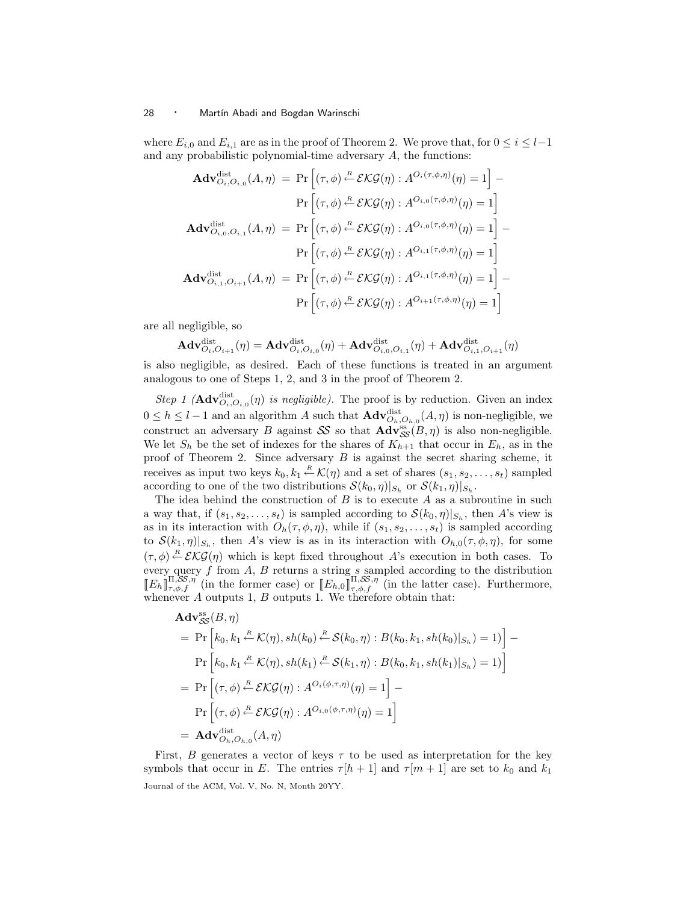where  $E_{i,0}$  and  $E_{i,1}$  are as in the proof of Theorem 2. We prove that, for  $0 \leq i \leq l-1$ and any probabilistic polynomial-time adversary  $A$ , the functions:

$$
\mathbf{Adv}_{O_i,O_{i,0}}^{\text{dist}}(A, \eta) = \Pr\left[(\tau, \phi) \stackrel{R}{\leftarrow} \mathcal{EKG}(\eta) : A^{O_i(\tau, \phi, \eta)}(\eta) = 1\right] - \Pr\left[(\tau, \phi) \stackrel{R}{\leftarrow} \mathcal{EKG}(\eta) : A^{O_{i,0}(\tau, \phi, \eta)}(\eta) = 1\right]
$$
\n
$$
\mathbf{Adv}_{O_{i,0},O_{i,1}}^{\text{dist}}(A, \eta) = \Pr\left[(\tau, \phi) \stackrel{R}{\leftarrow} \mathcal{EKG}(\eta) : A^{O_{i,0}(\tau, \phi, \eta)}(\eta) = 1\right] - \Pr\left[(\tau, \phi) \stackrel{R}{\leftarrow} \mathcal{EKG}(\eta) : A^{O_{i,1}(\tau, \phi, \eta)}(\eta) = 1\right]
$$
\n
$$
\mathbf{Adv}_{O_{i,1},O_{i+1}}^{\text{dist}}(A, \eta) = \Pr\left[(\tau, \phi) \stackrel{R}{\leftarrow} \mathcal{EKG}(\eta) : A^{O_{i,1}(\tau, \phi, \eta)}(\eta) = 1\right] - \Pr\left[(\tau, \phi) \stackrel{R}{\leftarrow} \mathcal{EKG}(\eta) : A^{O_{i+1}(\tau, \phi, \eta)}(\eta) = 1\right] - \Pr\left[(\tau, \phi) \stackrel{R}{\leftarrow} \mathcal{EKG}(\eta) : A^{O_{i+1}(\tau, \phi, \eta)}(\eta) = 1\right]
$$

are all negligible, so

 $\mathbf{Adv}_{O_i, O_{i+1}}^{\text{dist}}(\eta) = \mathbf{Adv}_{O_i, O_{i,0}}^{\text{dist}}(\eta) + \mathbf{Adv}_{O_{i,0}, O_{i,1}}^{\text{dist}}(\eta) + \mathbf{Adv}_{O_{i,1}, O_{i+1}}^{\text{dist}}(\eta)$ 

is also negligible, as desired. Each of these functions is treated in an argument analogous to one of Steps 1, 2, and 3 in the proof of Theorem 2.

*Step 1 (***Adv** $_{O_i,O_{i,0}}^{dist}(\eta)$  *is negligible)*. The proof is by reduction. Given an index  $0 \leq h \leq l-1$  and an algorithm A such that  $\mathbf{Adv}_{O_h,O_{h,0}}^{dist}(A,\eta)$  is non-negligible, we construct an adversary B against  $\mathcal{S}\mathcal{S}$  so that  $\mathbf{Adv}_{\mathcal{S}\mathcal{S}}^{n, \infty}(B, \eta)$  is also non-negligible. We let  $S_h$  be the set of indexes for the shares of  $K_{h+1}$  that occur in  $E_h$ , as in the proof of Theorem 2. Since adversary  $B$  is against the secret sharing scheme, it receives as input two keys  $k_0, k_1 \stackrel{R}{\leftarrow} \mathcal{K}(\eta)$  and a set of shares  $(s_1, s_2, \ldots, s_t)$  sampled according to one of the two distributions  $\mathcal{S}(k_0, \eta)|_{S_h}$  or  $\mathcal{S}(k_1, \eta)|_{S_h}$ .

The idea behind the construction of  $B$  is to execute  $A$  as a subroutine in such a way that, if  $(s_1, s_2, \ldots, s_t)$  is sampled according to  $\mathcal{S}(k_0, \eta)|_{S_h}$ , then A's view is as in its interaction with  $O_h(\tau, \phi, \eta)$ , while if  $(s_1, s_2, \ldots, s_t)$  is sampled according to  $S(k_1, \eta)|_{S_h}$ , then A's view is as in its interaction with  $O_{h,0}(\tau, \phi, \eta)$ , for some  $(\tau,\phi) \stackrel{R}{\leftarrow} \mathcal{E} \mathcal{K} \mathcal{G}(\eta)$  which is kept fixed throughout A's execution in both cases. To every query f from A, B returns a string s sampled according to the distribution  $[[E_h]]_{\tau,\mathcal{S},\eta}^{\Pi,\mathcal{SS},\eta}$  (in the former case) or  $[[E_{h,0}]]_{\tau,\phi,f}^{\Pi,\mathcal{SS},\eta}$  (in the latter case). Furthermore, whenever A outputs 1, B outputs 1. We therefore obtain that:

$$
\mathbf{Adv}_{\mathcal{SS}}^{\mathit{ss}}(B,\eta) \n= \Pr\left[k_0, k_1 \stackrel{R}{\leftarrow} \mathcal{K}(\eta), sh(k_0) \stackrel{R}{\leftarrow} \mathcal{S}(k_0, \eta) : B(k_0, k_1, sh(k_0)|_{S_h}) = 1)\right] - \Pr\left[k_0, k_1 \stackrel{R}{\leftarrow} \mathcal{K}(\eta), sh(k_1) \stackrel{R}{\leftarrow} \mathcal{S}(k_1, \eta) : B(k_0, k_1, sh(k_1)|_{S_h}) = 1)\right] \n= \Pr\left[(\tau, \phi) \stackrel{R}{\leftarrow} \mathcal{E}\mathcal{K}\mathcal{G}(\eta) : A^{O_i(\phi, \tau, \eta)}(\eta) = 1\right] - \Pr\left[(\tau, \phi) \stackrel{R}{\leftarrow} \mathcal{E}\mathcal{K}\mathcal{G}(\eta) : A^{O_{i,0}(\phi, \tau, \eta)}(\eta) = 1\right] \n= \mathbf{Adv}_{O_h, O_{h,0}}^{\text{dist}}(A, \eta)
$$

First, B generates a vector of keys  $\tau$  to be used as interpretation for the key symbols that occur in E. The entries  $\tau[h+1]$  and  $\tau[m+1]$  are set to  $k_0$  and  $k_1$ Journal of the ACM, Vol. V, No. N, Month 20YY.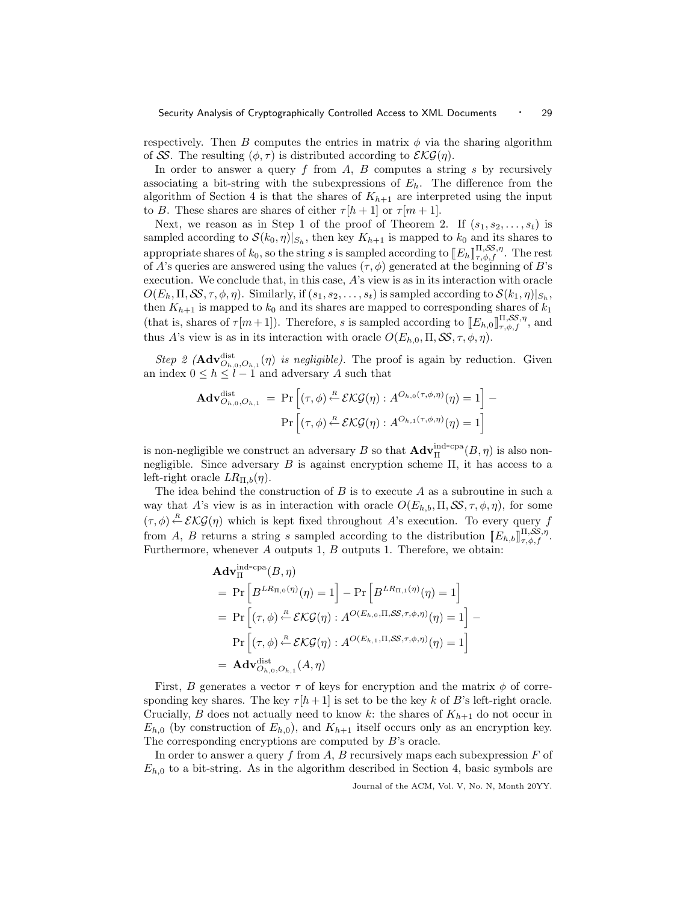respectively. Then B computes the entries in matrix  $\phi$  via the sharing algorithm of SS. The resulting  $(\phi, \tau)$  is distributed according to  $\mathcal{E} \mathcal{K} \mathcal{G}(\eta)$ .

In order to answer a query f from  $A$ ,  $B$  computes a string  $s$  by recursively associating a bit-string with the subexpressions of  $E_h$ . The difference from the algorithm of Section 4 is that the shares of  $K_{h+1}$  are interpreted using the input to B. These shares are shares of either  $\tau[h+1]$  or  $\tau[m+1]$ .

Next, we reason as in Step 1 of the proof of Theorem 2. If  $(s_1, s_2, \ldots, s_t)$  is sampled according to  $\mathcal{S}(k_0, \eta)|_{S_h}$ , then key  $K_{h+1}$  is mapped to  $k_0$  and its shares to appropriate shares of  $k_0$ , so the string s is sampled according to  $[[E_h]]_{\tau,\phi,f}^{\Pi,\mathcal{SS},\eta}$ . The rest of A's queries are answered using the values  $(\tau,\phi)$  generated at the beginning of B's execution. We conclude that, in this case, A's view is as in its interaction with oracle  $O(E_h, \Pi, \mathcal{S}\mathcal{S}, \tau, \phi, \eta)$ . Similarly, if  $(s_1, s_2, \ldots, s_t)$  is sampled according to  $\mathcal{S}(k_1, \eta)|_{S_h}$ , then  $K_{h+1}$  is mapped to  $k_0$  and its shares are mapped to corresponding shares of  $k_1$ (that is, shares of  $\tau[m+1]$ ). Therefore, s is sampled according to  $[[E_{h,0}]]_{\tau,\phi,f}^{\Pi,\mathcal{SS},\eta}$ , and thus A's view is as in its interaction with oracle  $O(E_{h,0}, \Pi, \mathcal{S}\mathcal{S}, \tau, \phi, \eta)$ .

*Step 2* ( $\mathbf{Adv}_{O_{h,0},O_{h,1}}^{dist}(\eta)$  *is negligible*). The proof is again by reduction. Given an index  $0 \leq h \leq l-1$  and adversary A such that

$$
\mathbf{Adv}_{O_{h,0},O_{h,1}}^{\text{dist}} = \Pr\left[ (\tau,\phi) \stackrel{R}{\leftarrow} \mathcal{EKG}(\eta) : A^{O_{h,0}(\tau,\phi,\eta)}(\eta) = 1 \right] -
$$

$$
\Pr\left[ (\tau,\phi) \stackrel{R}{\leftarrow} \mathcal{EKG}(\eta) : A^{O_{h,1}(\tau,\phi,\eta)}(\eta) = 1 \right]
$$

is non-negligible we construct an adversary  $B$  so that  $\mathbf{Adv}_{\Pi}^{\text{ind-cpa}}(B,\eta)$  is also nonnegligible. Since adversary B is against encryption scheme  $\Pi$ , it has access to a left-right oracle  $LR_{\Pi,b}(\eta)$ .

The idea behind the construction of  $B$  is to execute  $A$  as a subroutine in such a way that A's view is as in interaction with oracle  $O(E_{h,b}, \Pi, \mathcal{S}, \tau, \phi, \eta)$ , for some  $(\tau,\phi) \stackrel{R}{\leftarrow} \mathcal{E} \mathcal{K} \mathcal{G}(\eta)$  which is kept fixed throughout A's execution. To every query f from A, B returns a string s sampled according to the distribution  $[[E_{h,b}]]_{\tau,\phi,f}^{\Pi,\tilde{SS},\eta}$ . Furthermore, whenever  $A$  outputs 1,  $B$  outputs 1. Therefore, we obtain:

$$
\mathbf{Adv}_{\Pi}^{\text{ind-cpa}}(B, \eta)
$$
\n
$$
= \Pr \left[ B^{LR_{\Pi,0}(\eta)}(\eta) = 1 \right] - \Pr \left[ B^{LR_{\Pi,1}(\eta)}(\eta) = 1 \right]
$$
\n
$$
= \Pr \left[ (\tau, \phi) \stackrel{R}{\leftarrow} \mathcal{EKG}(\eta) : A^{O(E_{h,0}, \Pi, \mathcal{SS}, \tau, \phi, \eta)}(\eta) = 1 \right] -
$$
\n
$$
\Pr \left[ (\tau, \phi) \stackrel{R}{\leftarrow} \mathcal{EKG}(\eta) : A^{O(E_{h,1}, \Pi, \mathcal{SS}, \tau, \phi, \eta)}(\eta) = 1 \right]
$$
\n
$$
= \mathbf{Adv}_{O_{h,0}, O_{h,1}}^{dist}(A, \eta)
$$

First, B generates a vector  $\tau$  of keys for encryption and the matrix  $\phi$  of corresponding key shares. The key  $\tau[h+1]$  is set to be the key k of B's left-right oracle. Crucially, B does not actually need to know k: the shares of  $K_{h+1}$  do not occur in  $E_{h,0}$  (by construction of  $E_{h,0}$ ), and  $K_{h+1}$  itself occurs only as an encryption key. The corresponding encryptions are computed by B's oracle.

In order to answer a query f from A, B recursively maps each subexpression  $F$  of  $E_{h,0}$  to a bit-string. As in the algorithm described in Section 4, basic symbols are